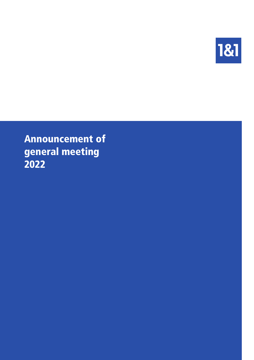

Announcement of general meeting 2022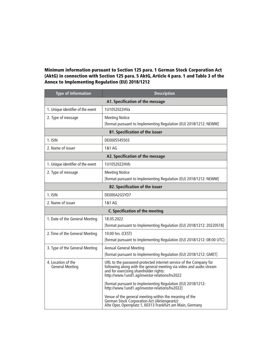## Minimum information pursuant to Section 125 para. 1 German Stock Corporation Act (AktG) in connection with Section 125 para. 5 AktG, Article 4 para. 1 and Table 3 of the Annex to Implementing Regulation (EU) 2018/1212

| <b>Type of Information</b>                   | <b>Description</b>                                                                                                                                                                                                                  |  |  |
|----------------------------------------------|-------------------------------------------------------------------------------------------------------------------------------------------------------------------------------------------------------------------------------------|--|--|
| A1. Specification of the message             |                                                                                                                                                                                                                                     |  |  |
| 1. Unique identifier of the event            | 1U1052022HVa                                                                                                                                                                                                                        |  |  |
| 2. Type of message                           | <b>Meeting Notice</b>                                                                                                                                                                                                               |  |  |
|                                              | [format pursuant to Implementing Regulation (EU) 2018/1212: NEWM]                                                                                                                                                                   |  |  |
|                                              | <b>B1. Specification of the issuer</b>                                                                                                                                                                                              |  |  |
| 1. ISIN                                      | DE0005545503                                                                                                                                                                                                                        |  |  |
| 2. Name of issuer                            | 1&1 AG                                                                                                                                                                                                                              |  |  |
|                                              | A2. Specification of the message                                                                                                                                                                                                    |  |  |
| 1. Unique identifier of the event            | 1U1052022HVb                                                                                                                                                                                                                        |  |  |
| 2. Type of message                           | <b>Meeting Notice</b>                                                                                                                                                                                                               |  |  |
|                                              | [format pursuant to Implementing Regulation (EU) 2018/1212: NEWM]                                                                                                                                                                   |  |  |
| <b>B2. Specification of the issuer</b>       |                                                                                                                                                                                                                                     |  |  |
| 1. ISIN                                      | DE000A2GSYD7                                                                                                                                                                                                                        |  |  |
| 2. Name of issuer                            | 1&1 AG                                                                                                                                                                                                                              |  |  |
|                                              | <b>C. Specification of the meeting</b>                                                                                                                                                                                              |  |  |
| 1. Date of the General Meeting               | 18.05.2022                                                                                                                                                                                                                          |  |  |
|                                              | [format pursuant to Implementing Regulation (EU) 2018/1212: 20220518]                                                                                                                                                               |  |  |
| 2. Time of the General Meeting               | 10:00 hrs. (CEST)                                                                                                                                                                                                                   |  |  |
|                                              | [format pursuant to Implementing Regulation (EU) 2018/1212: 08:00 UTC]                                                                                                                                                              |  |  |
| 3. Type of the General Meeting               | <b>Annual General Meeting</b>                                                                                                                                                                                                       |  |  |
|                                              | [format pursuant to Implementing Regulation (EU) 2018/1212: GMET]                                                                                                                                                                   |  |  |
| 4. Location of the<br><b>General Meeting</b> | URL to the password-protected internet service of the Company for<br>following along with the general meeting via video and audio stream<br>and for exercising shareholder rights:<br>http://www.1und1.ag/investor-relations/hv2022 |  |  |
|                                              | [format pursuant to Implementing Regulation (EU) 2018/1212:<br>http://www.1und1.ag/investor-relations/hv2022]                                                                                                                       |  |  |
|                                              | Venue of the general meeting within the meaning of the<br>German Stock Corporation Act (Aktiengesetz):<br>Alte Oper, Opernplatz 1, 60313 Frankfurt am Main, Germany                                                                 |  |  |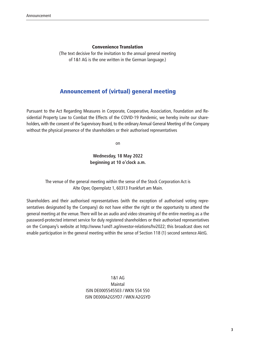#### Convenience Translation

(The text decisive for the invitation to the annual general meeting of 1&1 AG is the one written in the German language.)

# Announcement of (virtual) general meeting

Pursuant to the Act Regarding Measures in Corporate, Cooperative, Association, Foundation and Residential Property Law to Combat the Effects of the COVID-19 Pandemic, we hereby invite our shareholders, with the consent of the Supervisory Board, to the ordinary Annual General Meeting of the Company without the physical presence of the shareholders or their authorised representatives

on

### **Wednesday, 18 May 2022 beginning at 10 o'clock a.m.**

The venue of the general meeting within the sense of the Stock Corporation Act is Alte Oper, Opernplatz 1, 60313 Frankfurt am Main.

Shareholders and their authorised representatives (with the exception of authorised voting representatives designated by the Company) do not have either the right or the opportunity to attend the general meeting at the venue. There will be an audio and video streaming of the entire meeting as a the password-protected internet service for duly registered shareholders or their authorised representatives on the Company's website at <http://www.1und1.ag/investor-relations/hv2022>; this broadcast does not enable participation in the general meeting within the sense of Section 118 (1) second sentence AktG.

> 1&1 AG **Maintal** ISIN DE0005545503 / WKN 554 550 ISIN DE000A2GSYD7 / WKN A2GSYD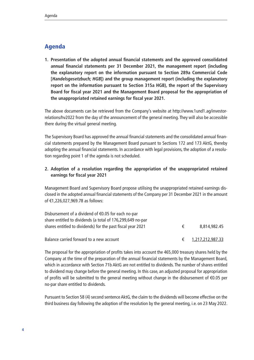# Agenda

**1. Presentation of the adopted annual financial statements and the approved consolidated annual financial statements per 31 December 2021, the management report (including the explanatory report on the information pursuant to Section 289a Commercial Code [Handelsgesetzbuch; HGB]) and the group management report (including the explanatory report on the information pursuant to Section 315a HGB), the report of the Supervisory Board for fiscal year 2021 and the Management Board proposal for the appropriation of the unappropriated retained earnings for fiscal year 2021.**

The above documents can be retrieved from the Company's website at [http://www.1und1.ag/investor](http://www.1und1.ag/investor-relations/hv2022)[relations/hv2022](http://www.1und1.ag/investor-relations/hv2022) from the day of the announcement of the general meeting. They will also be accessible there during the virtual general meeting.

The Supervisory Board has approved the annual financial statements and the consolidated annual financial statements prepared by the Management Board pursuant to Sections 172 and 173 AktG, thereby adopting the annual financial statements. In accordance with legal provisions, the adoption of a resolution regarding point 1 of the agenda is not scheduled.

## **2. Adoption of a resolution regarding the appropriation of the unappropriated retained earnings for fiscal year 2021**

Management Board and Supervisory Board propose utilising the unappropriated retained earnings disclosed in the adopted annual financial statements of the Company per 31 December 2021 in the amount of €1,226,027,969.78 as follows:

| Disbursement of a dividend of $\epsilon$ 0.05 for each no-par |   |                    |
|---------------------------------------------------------------|---|--------------------|
| share entitled to dividends (a total of 176,299,649 no-par    |   |                    |
| shares entitled to dividends) for the past fiscal year 2021   | € | 8,814,982.45       |
| Balance carried forward to a new account                      |   | € 1,217,212,987.33 |

The proposal for the appropriation of profits takes into account the 465,000 treasury shares held by the Company at the time of the preparation of the annual financial statements by the Management Board, which in accordance with Section 71b AktG are not entitled to dividends. The number of shares entitled to dividend may change before the general meeting. In this case, an adjusted proposal for appropriation of profits will be submitted to the general meeting without change in the disbursement of €0.05 per no-par share entitled to dividends.

Pursuant to Section 58 (4) second sentence AktG, the claim to the dividends will become effective on the third business day following the adoption of the resolution by the general meeting, i.e. on 23 May 2022.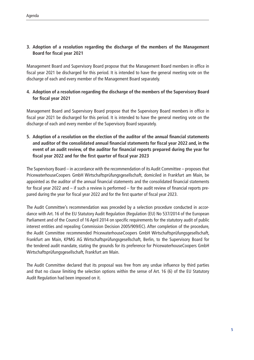## **3. Adoption of a resolution regarding the discharge of the members of the Management Board for fiscal year 2021**

Management Board and Supervisory Board propose that the Management Board members in office in fiscal year 2021 be discharged for this period. It is intended to have the general meeting vote on the discharge of each and every member of the Management Board separately.

## **4. Adoption of a resolution regarding the discharge of the members of the Supervisory Board for fiscal year 2021**

Management Board and Supervisory Board propose that the Supervisory Board members in office in fiscal year 2021 be discharged for this period. It is intended to have the general meeting vote on the discharge of each and every member of the Supervisory Board separately.

**5. Adoption of a resolution on the election of the auditor of the annual financial statements and auditor of the consolidated annual financial statements for fiscal year 2022 and, in the event of an audit review, of the auditor for financial reports prepared during the year for fiscal year 2022 and for the first quarter of fiscal year 2023**

The Supervisory Board – in accordance with the recommendation of its Audit Committee – proposes that PricewaterhouseCoopers GmbH Wirtschaftsprüfungsgesellschaft, domiciled in Frankfurt am Main, be appointed as the auditor of the annual financial statements and the consolidated financial statements for fiscal year 2022 and – if such a review is performed – for the audit review of financial reports prepared during the year for fiscal year 2022 and for the first quarter of fiscal year 2023.

The Audit Committee's recommendation was preceded by a selection procedure conducted in accordance with Art. 16 of the EU Statutory Audit Regulation (Regulation (EU) No 537/2014 of the European Parliament and of the Council of 16 April 2014 on specific requirements for the statutory audit of public interest entities and repealing Commission Decision 2005/909/EC). After completion of the procedure, the Audit Committee recommended PricewaterhouseCoopers GmbH Wirtschaftsprüfungsgesellschaft, Frankfurt am Main, KPMG AG Wirtschaftsprüfungsgesellschaft, Berlin, to the Supervisory Board for the tendered audit mandate, stating the grounds for its preference for PricewaterhouseCoopers GmbH Wirtschaftsprüfungsgesellschaft, Frankfurt am Main.

The Audit Committee declared that its proposal was free from any undue influence by third parties and that no clause limiting the selection options within the sense of Art. 16 (6) of the EU Statutory Audit Regulation had been imposed on it.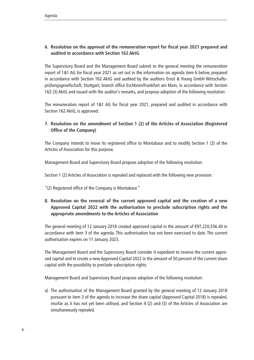## **6. Resolution on the approval of the remuneration report for fiscal year 2021 prepared and audited in accordance with Section 162 AktG**

The Supervisory Board and the Management Board submit to the general meeting the remuneration report of 1&1 AG for fiscal year 2021 as set out in the information on agenda item 6 below, prepared in accordance with Section 162 AktG and audited by the auditors Ernst & Young GmbH Wirtschaftsprüfungsgesellschaft, Stuttgart, branch office Eschborn/Frankfurt am Main, in accordance with Section 162 (3) AktG and issued with the auditor's remarks, and propose adoption of the following resolution:

The remuneration report of 1&1 AG for fiscal year 2021, prepared and audited in accordance with Section 162 AktG, is approved.

## **7. Resolution on the amendment of Section 1 (2) of the Articles of Association (Registered Office of the Company)**

The Company intends to move its registered office to Montabaur and to modify Section 1 (2) of the Articles of Association for this purpose.

Management Board and Supervisory Board propose adoption of the following resolution:

Section 1 (2) Articles of Association is repealed and replaced with the following new provision:

"(2) Registered office of the Company is Montabaur."

## **8. Resolution on the reversal of the current approved capital and the creation of a new Approved Capital 2022 with the authorisation to preclude subscription rights and the appropriate amendments to the Articles of Association**

The general meeting of 12 January 2018 created approved capital in the amount of €97,220,556.40 in accordance with item 3 of the agenda. This authorisation has not been exercised to date. The current authorisation expires on 11 January 2023.

The Management Board and the Supervisory Board consider it expedient to reverse the current approved capital and to create a new Approved Capital 2022 in the amount of 50 percent of the current share capital with the possibility to preclude subscription rights.

Management Board and Supervisory Board propose adoption of the following resolution:

a) The authorisation of the Management Board granted by the general meeting of 12 January 2018 pursuant to item 3 of the agenda to increase the share capital (Approved Capital 2018) is repealed, insofar as it has not yet been utilised, and Section 4 (2) and (3) of the Articles of Association are simultaneously repealed.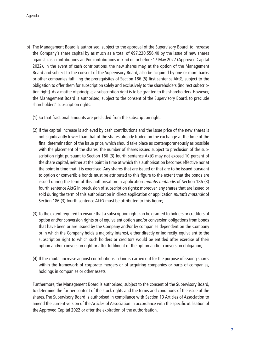- b) The Management Board is authorised, subject to the approval of the Supervisory Board, to increase the Company's share capital by as much as a total of €97,220,556.40 by the issue of new shares against cash contributions and/or contributions in kind on or before 17 May 2027 (Approved Capital 2022). In the event of cash contributions, the new shares may, at the option of the Management Board and subject to the consent of the Supervisory Board, also be acquired by one or more banks or other companies fulfilling the prerequisites of Section 186 (5) first sentence AktG, subject to the obligation to offer them for subscription solely and exclusively to the shareholders (indirect subscription right). As a matter of principle, a subscription right is to be granted to the shareholders. However, the Management Board is authorised, subject to the consent of the Supervisory Board, to preclude shareholders' subscription rights:
	- (1) So that fractional amounts are precluded from the subscription right;
	- (2) If the capital increase is achieved by cash contributions and the issue price of the new shares is not significantly lower than that of the shares already traded on the exchange at the time of the final determination of the issue price, which should take place as contemporaneously as possible with the placement of the shares. The number of shares issued subject to preclusion of the subscription right pursuant to Section 186 (3) fourth sentence AktG may not exceed 10 percent of the share capital, neither at the point in time at which this authorisation becomes effective nor at the point in time that it is exercised. Any shares that are issued or that are to be issued pursuant to option or convertible bonds must be attributed to this figure to the extent that the bonds are issued during the term of this authorisation in application mutatis mutandis of Section 186 (3) fourth sentence AktG in preclusion of subscription rights; moreover, any shares that are issued or sold during the term of this authorisation in direct application or application mutatis mutandis of Section 186 (3) fourth sentence AktG must be attributed to this figure;
	- (3) To the extent required to ensure that a subscription right can be granted to holders or creditors of option and/or conversion rights or of equivalent option and/or conversion obligations from bonds that have been or are issued by the Company and/or by companies dependent on the Company or in which the Company holds a majority interest, either directly or indirectly, equivalent to the subscription right to which such holders or creditors would be entitled after exercise of their option and/or conversion right or after fulfilment of the option and/or conversion obligation;
	- (4) If the capital increase against contributions in kind is carried out for the purpose of issuing shares within the framework of corporate mergers or of acquiring companies or parts of companies, holdings in companies or other assets.

Furthermore, the Management Board is authorised, subject to the consent of the Supervisory Board, to determine the further content of the stock rights and the terms and conditions of the issue of the shares. The Supervisory Board is authorised in compliance with Section 13 Articles of Association to amend the current version of the Articles of Association in accordance with the specific utilisation of the Approved Capital 2022 or after the expiration of the authorisation.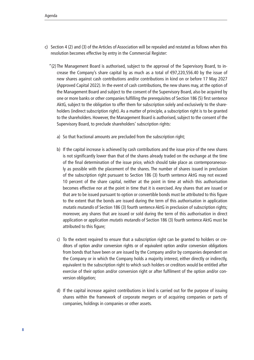- c) Section 4 (2) and (3) of the Articles of Association will be repealed and restated as follows when this resolution becomes effective by entry in the Commercial Register:
	- "(2) The Management Board is authorised, subject to the approval of the Supervisory Board, to increase the Company's share capital by as much as a total of  $\epsilon$ 97,220,556.40 by the issue of new shares against cash contributions and/or contributions in kind on or before 17 May 2027 (Approved Capital 2022). In the event of cash contributions, the new shares may, at the option of the Management Board and subject to the consent of the Supervisory Board, also be acquired by one or more banks or other companies fulfilling the prerequisites of Section 186 (5) first sentence AktG, subject to the obligation to offer them for subscription solely and exclusively to the shareholders (indirect subscription right). As a matter of principle, a subscription right is to be granted to the shareholders. However, the Management Board is authorised, subject to the consent of the Supervisory Board, to preclude shareholders' subscription rights:
		- a) So that fractional amounts are precluded from the subscription right;
		- b) If the capital increase is achieved by cash contributions and the issue price of the new shares is not significantly lower than that of the shares already traded on the exchange at the time of the final determination of the issue price, which should take place as contemporaneously as possible with the placement of the shares. The number of shares issued in preclusion of the subscription right pursuant to Section 186 (3) fourth sentence AktG may not exceed 10 percent of the share capital, neither at the point in time at which this authorisation becomes effective nor at the point in time that it is exercised. Any shares that are issued or that are to be issued pursuant to option or convertible bonds must be attributed to this figure to the extent that the bonds are issued during the term of this authorisation in application mutatis mutandis of Section 186 (3) fourth sentence AktG in preclusion of subscription rights; moreover, any shares that are issued or sold during the term of this authorisation in direct application or application mutatis mutandis of Section 186 (3) fourth sentence AktG must be attributed to this figure;
		- c) To the extent required to ensure that a subscription right can be granted to holders or creditors of option and/or conversion rights or of equivalent option and/or conversion obligations from bonds that have been or are issued by the Company and/or by companies dependent on the Company or in which the Company holds a majority interest, either directly or indirectly, equivalent to the subscription right to which such holders or creditors would be entitled after exercise of their option and/or conversion right or after fulfilment of the option and/or conversion obligation;
		- d) If the capital increase against contributions in kind is carried out for the purpose of issuing shares within the framework of corporate mergers or of acquiring companies or parts of companies, holdings in companies or other assets.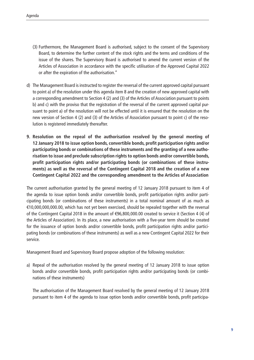- (3) Furthermore, the Management Board is authorised, subject to the consent of the Supervisory Board, to determine the further content of the stock rights and the terms and conditions of the issue of the shares. The Supervisory Board is authorised to amend the current version of the Articles of Association in accordance with the specific utilisation of the Approved Capital 2022 or after the expiration of the authorisation."
- d) The Management Board is instructed to register the reversal of the current approved capital pursuant to point a) of the resolution under this agenda item 8 and the creation of new approved capital with a corresponding amendment to Section 4 (2) and (3) of the Articles of Association pursuant to points b) and c) with the proviso that the registration of the reversal of the current approved capital pursuant to point a) of the resolution will not be effected until it is ensured that the resolution on the new version of Section 4 (2) and (3) of the Articles of Association pursuant to point c) of the resolution is registered immediately thereafter.
- **9. Resolution on the repeal of the authorisation resolved by the general meeting of 12 January 2018 to issue option bonds, convertible bonds, profit participation rights and/or participating bonds or combinations of these instruments and the granting of a new authorisation to issue and preclude subscription rights to option bonds and/or convertible bonds, profit participation rights and/or participating bonds (or combinations of these instruments) as well as the reversal of the Contingent Capital 2018 and the creation of a new Contingent Capital 2022 and the corresponding amendment to the Articles of Association**

The current authorisation granted by the general meeting of 12 January 2018 pursuant to item 4 of the agenda to issue option bonds and/or convertible bonds, profit participation rights and/or participating bonds (or combinations of these instruments) in a total nominal amount of as much as €10,000,000,000.00, which has not yet been exercised, should be repealed together with the reversal of the Contingent Capital 2018 in the amount of €96,800,000.00 created to service it (Section 4 (4) of the Articles of Association). In its place, a new authorisation with a five-year term should be created for the issuance of option bonds and/or convertible bonds, profit participation rights and/or participating bonds (or combinations of these instruments) as well as a new Contingent Capital 2022 for their service.

Management Board and Supervisory Board propose adoption of the following resolution:

a) Repeal of the authorisation resolved by the general meeting of 12 January 2018 to issue option bonds and/or convertible bonds, profit participation rights and/or participating bonds (or combinations of these instruments)

The authorisation of the Management Board resolved by the general meeting of 12 January 2018 pursuant to item 4 of the agenda to issue option bonds and/or convertible bonds, profit participa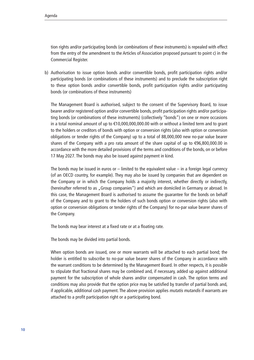tion rights and/or participating bonds (or combinations of these instruments) is repealed with effect from the entry of the amendment to the Articles of Association proposed pursuant to point c) in the Commercial Register.

b) Authorisation to issue option bonds and/or convertible bonds, profit participation rights and/or participating bonds (or combinations of these instruments) and to preclude the subscription right to these option bonds and/or convertible bonds, profit participation rights and/or participating bonds (or combinations of these instruments)

The Management Board is authorised, subject to the consent of the Supervisory Board, to issue bearer and/or registered option and/or convertible bonds, profit participation rights and/or participating bonds (or combinations of these instruments) (collectively "bonds") on one or more occasions in a total nominal amount of up to €10,000,000,000.00 with or without a limited term and to grant to the holders or creditors of bonds with option or conversion rights (also with option or conversion obligations or tender rights of the Company) up to a total of 88,000,000 new no-par value bearer shares of the Company with a pro rata amount of the share capital of up to €96,800,000.00 in accordance with the more detailed provisions of the terms and conditions of the bonds, on or before 17 May 2027. The bonds may also be issued against payment in kind.

The bonds may be issued in euros or – limited to the equivalent value – in a foreign legal currency (of an OECD country, for example). They may also be issued by companies that are dependent on the Company or in which the Company holds a majority interest, whether directly or indirectly, (hereinafter referred to as "Group companies") and which are domiciled in Germany or abroad. In this case, the Management Board is authorised to assume the guarantee for the bonds on behalf of the Company and to grant to the holders of such bonds option or conversion rights (also with option or conversion obligations or tender rights of the Company) for no-par value bearer shares of the Company.

The bonds may bear interest at a fixed rate or at a floating rate.

The bonds may be divided into partial bonds.

When option bonds are issued, one or more warrants will be attached to each partial bond; the holder is entitled to subscribe to no-par value bearer shares of the Company in accordance with the warrant conditions to be determined by the Management Board. In other respects, it is possible to stipulate that fractional shares may be combined and, if necessary, added up against additional payment for the subscription of whole shares and/or compensated in cash. The option terms and conditions may also provide that the option price may be satisfied by transfer of partial bonds and, if applicable, additional cash payment. The above provision applies mutatis mutandis if warrants are attached to a profit participation right or a participating bond.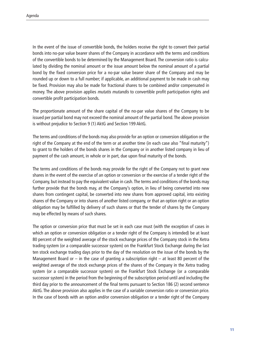In the event of the issue of convertible bonds, the holders receive the right to convert their partial bonds into no-par value bearer shares of the Company in accordance with the terms and conditions of the convertible bonds to be determined by the Management Board. The conversion ratio is calculated by dividing the nominal amount or the issue amount below the nominal amount of a partial bond by the fixed conversion price for a no-par value bearer share of the Company and may be rounded up or down to a full number; if applicable, an additional payment to be made in cash may be fixed. Provision may also be made for fractional shares to be combined and/or compensated in money. The above provision applies *mutatis mutandis* to convertible profit participation rights and convertible profit participation bonds.

The proportionate amount of the share capital of the no-par value shares of the Company to be issued per partial bond may not exceed the nominal amount of the partial bond. The above provision is without prejudice to Section 9 (1) AktG and Section 199 AktG.

The terms and conditions of the bonds may also provide for an option or conversion obligation or the right of the Company at the end of the term or at another time (in each case also "final maturity") to grant to the holders of the bonds shares in the Company or in another listed company in lieu of payment of the cash amount, in whole or in part, due upon final maturity of the bonds.

The terms and conditions of the bonds may provide for the right of the Company not to grant new shares in the event of the exercise of an option or conversion or the exercise of a tender right of the Company, but instead to pay the equivalent value in cash. The terms and conditions of the bonds may further provide that the bonds may, at the Company's option, in lieu of being converted into new shares from contingent capital, be converted into new shares from approved capital, into existing shares of the Company or into shares of another listed company, or that an option right or an option obligation may be fulfilled by delivery of such shares or that the tender of shares by the Company may be effected by means of such shares.

The option or conversion price that must be set in each case must (with the exception of cases in which an option or conversion obligation or a tender right of the Company is intended) be at least 80 percent of the weighted average of the stock exchange prices of the Company stock in the Xetra trading system (or a comparable successor system) on the Frankfurt Stock Exchange during the last ten stock exchange trading days prior to the day of the resolution on the issue of the bonds by the Management Board or  $-$  in the case of granting a subscription right  $-$  at least 80 percent of the weighted average of the stock exchange prices of the shares of the Company in the Xetra trading system (or a comparable successor system) on the Frankfurt Stock Exchange (or a comparable successor system) in the period from the beginning of the subscription period until and including the third day prior to the announcement of the final terms pursuant to Section 186 (2) second sentence AktG. The above provision also applies in the case of a variable conversion ratio or conversion price. In the case of bonds with an option and/or conversion obligation or a tender right of the Company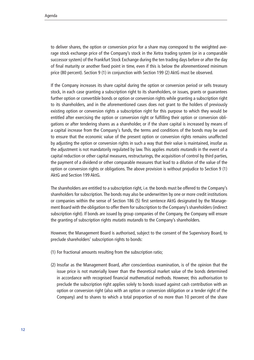to deliver shares, the option or conversion price for a share may correspond to the weighted average stock exchange price of the Company's stock in the Xetra trading system (or in a comparable successor system) of the Frankfurt Stock Exchange during the ten trading days before or after the day of final maturity or another fixed point in time, even if this is below the aforementioned minimum price (80 percent). Section 9 (1) in conjunction with Section 199 (2) AktG must be observed.

If the Company increases its share capital during the option or conversion period or sells treasury stock, in each case granting a subscription right to its shareholders, or issues, grants or guarantees further option or convertible bonds or option or conversion rights while granting a subscription right to its shareholders, and in the aforementioned cases does not grant to the holders of previously existing option or conversion rights a subscription right for this purpose to which they would be entitled after exercising the option or conversion right or fulfilling their option or conversion obligations or after tendering shares as a shareholder, or if the share capital is increased by means of a capital increase from the Company's funds, the terms and conditions of the bonds may be used to ensure that the economic value of the present option or conversion rights remains unaffected by adjusting the option or conversion rights in such a way that their value is maintained, insofar as the adjustment is not mandatorily regulated by law. This applies *mutatis mutandis* in the event of a capital reduction or other capital measures, restructurings, the acquisition of control by third parties, the payment of a dividend or other comparable measures that lead to a dilution of the value of the option or conversion rights or obligations. The above provision is without prejudice to Section 9 (1) AktG and Section 199 AktG.

The shareholders are entitled to a subscription right, i.e. the bonds must be offered to the Company's shareholders for subscription. The bonds may also be underwritten by one or more credit institutions or companies within the sense of Section 186 (5) first sentence AktG designated by the Management Board with the obligation to offer them for subscription to the Company's shareholders (indirect subscription right). If bonds are issued by group companies of the Company, the Company will ensure the granting of subscription rights *mutatis mutandis* to the Company's shareholders.

However, the Management Board is authorised, subject to the consent of the Supervisory Board, to preclude shareholders' subscription rights to bonds:

- (1) For fractional amounts resulting from the subscription ratio;
- (2) Insofar as the Management Board, after conscientious examination, is of the opinion that the issue price is not materially lower than the theoretical market value of the bonds determined in accordance with recognised financial mathematical methods. However, this authorisation to preclude the subscription right applies solely to bonds issued against cash contribution with an option or conversion right (also with an option or conversion obligation or a tender right of the Company) and to shares to which a total proportion of no more than 10 percent of the share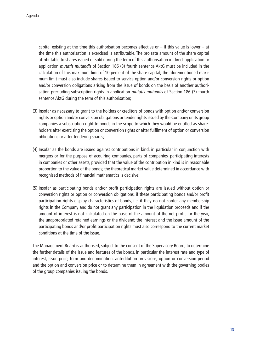capital existing at the time this authorisation becomes effective or  $-$  if this value is lower  $-$  at the time this authorisation is exercised is attributable. The pro rata amount of the share capital attributable to shares issued or sold during the term of this authorisation in direct application or application mutatis mutandis of Section 186 (3) fourth sentence AktG must be included in the calculation of this maximum limit of 10 percent of the share capital; the aforementioned maximum limit must also include shares issued to service option and/or conversion rights or option and/or conversion obligations arising from the issue of bonds on the basis of another authorisation precluding subscription rights in application mutatis mutandis of Section 186 (3) fourth sentence AktG during the term of this authorisation;

- (3) Insofar as necessary to grant to the holders or creditors of bonds with option and/or conversion rights or option and/or conversion obligations or tender rights issued by the Company or its group companies a subscription right to bonds in the scope to which they would be entitled as shareholders after exercising the option or conversion rights or after fulfilment of option or conversion obligations or after tendering shares;
- (4) Insofar as the bonds are issued against contributions in kind, in particular in conjunction with mergers or for the purpose of acquiring companies, parts of companies, participating interests in companies or other assets, provided that the value of the contribution in kind is in reasonable proportion to the value of the bonds; the theoretical market value determined in accordance with recognised methods of financial mathematics is decisive;
- (5) Insofar as participating bonds and/or profit participation rights are issued without option or conversion rights or option or conversion obligations, if these participating bonds and/or profit participation rights display characteristics of bonds, i.e. if they do not confer any membership rights in the Company and do not grant any participation in the liquidation proceeds and if the amount of interest is not calculated on the basis of the amount of the net profit for the year, the unappropriated retained earnings or the dividend; the interest and the issue amount of the participating bonds and/or profit participation rights must also correspond to the current market conditions at the time of the issue.

The Management Board is authorised, subject to the consent of the Supervisory Board, to determine the further details of the issue and features of the bonds, in particular the interest rate and type of interest, issue price, term and denomination, anti-dilution provisions, option or conversion period and the option and conversion price or to determine them in agreement with the governing bodies of the group companies issuing the bonds.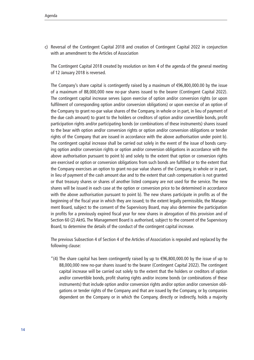c) Reversal of the Contingent Capital 2018 and creation of Contingent Capital 2022 in conjunction with an amendment to the Articles of Association

The Contingent Capital 2018 created by resolution on item 4 of the agenda of the general meeting of 12 January 2018 is reversed.

The Company's share capital is contingently raised by a maximum of €96,800,000.00 by the issue of a maximum of 88,000,000 new no-par shares issued to the bearer (Contingent Capital 2022). The contingent capital increase serves (upon exercise of option and/or conversion rights (or upon fulfilment of corresponding option and/or conversion obligations) or upon exercise of an option of the Company to grant no-par value shares of the Company, in whole or in part, in lieu of payment of the due cash amount) to grant to the holders or creditors of option and/or convertible bonds, profit participation rights and/or participating bonds (or combinations of these instruments) shares issued to the bear with option and/or conversion rights or option and/or conversion obligations or tender rights of the Company that are issued in accordance with the above authorisation under point b). The contingent capital increase shall be carried out solely in the event of the issue of bonds carrying option and/or conversion rights or option and/or conversion obligations in accordance with the above authorisation pursuant to point b) and solely to the extent that option or conversion rights are exercised or option or conversion obligations from such bonds are fulfilled or to the extent that the Company exercises an option to grant no-par value shares of the Company, in whole or in part, in lieu of payment of the cash amount due and to the extent that cash compensation is not granted or that treasury shares or shares of another listed company are not used for the service. The new shares will be issued in each case at the option or conversion price to be determined in accordance with the above authorisation pursuant to point b). The new shares participate in profits as of the beginning of the fiscal year in which they are issued; to the extent legally permissible, the Management Board, subject to the consent of the Supervisory Board, may also determine the participation in profits for a previously expired fiscal year for new shares in abrogation of this provision and of Section 60 (2) AktG. The Management Board is authorised, subject to the consent of the Supervisory Board, to determine the details of the conduct of the contingent capital increase.

The previous Subsection 4 of Section 4 of the Articles of Association is repealed and replaced by the following clause:

"(4) The share capital has been contingently raised by up to  $\epsilon$ 96,800,000.00 by the issue of up to 88,000,000 new no-par shares issued to the bearer (Contingent Capital 2022). The contingent capital increase will be carried out solely to the extent that the holders or creditors of option and/or convertible bonds, profit sharing rights and/or income bonds (or combinations of these instruments) that include option and/or conversion rights and/or option and/or conversion obligations or tender rights of the Company and that are issued by the Company, or by companies dependent on the Company or in which the Company, directly or indirectly, holds a majority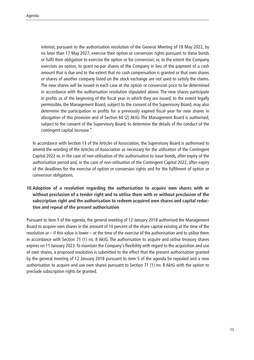interest, pursuant to the authorisation resolution of the General Meeting of 18 May 2022, by no later than 17 May 2027, exercise their option or conversion rights pursuant to these bonds or fulfil their obligation to exercise the option or for conversion; or, to the extent the Company exercises an option, to grant no-par shares of the Company in lieu of the payment of a cash amount that is due and to the extent that no cash compensation is granted or that own shares or shares of another company listed on the stock exchange are not used to satisfy the claims. The new shares will be issued in each case at the option or conversion price to be determined in accordance with the authorisation resolution stipulated above. The new shares participate in profits as of the beginning of the fiscal year in which they are issued; to the extent legally permissible, the Management Board, subject to the consent of the Supervisory Board, may also determine the participation in profits for a previously expired fiscal year for new shares in abrogation of this provision and of Section 60 (2) AktG. The Management Board is authorised, subject to the consent of the Supervisory Board, to determine the details of the conduct of the contingent capital increase."

In accordance with Section 13 of the Articles of Association, the Supervisory Board is authorised to amend the wording of the Articles of Association as necessary for the utilisation of the Contingent Capital 2022 or, in the case of non-utilisation of the authorisation to issue bonds, after expiry of the authorisation period and, in the case of non-utilisation of the Contingent Capital 2022, after expiry of the deadlines for the exercise of option or conversion rights and for the fulfilment of option or conversion obligations.

## **10.Adoption of a resolution regarding the authorisation to acquire own shares with or without preclusion of a tender right and to utilise them with or without preclusion of the subscription right and the authorisation to redeem acquired own shares and capital reduction and repeal of the present authorisation**

Pursuant to item 5 of the agenda, the general meeting of 12 January 2018 authorised the Management Board to acquire own shares in the amount of 10 percent of the share capital existing at the time of the resolution or – if this value is lower – at the time of the exercise of the authorisation and to utilise them in accordance with Section 71 (1) no. 8 AktG. The authorisation to acquire and utilise treasury shares expires on 11 January 2023. To maintain the Company's flexibility with regard to the acquisition and use of own shares, a proposed resolution is submitted to the effect that the present authorisation granted by the general meeting of 12 January 2018 pursuant to item 5 of the agenda be repealed and a new authorisation to acquire and use own shares pursuant to Section 71 (1) no. 8 AktG with the option to preclude subscription rights be granted.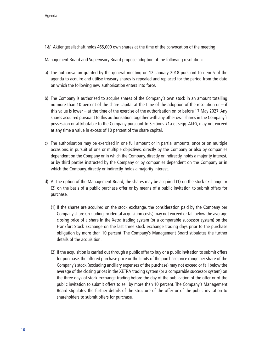1&1 Aktiengesellschaft holds 465,000 own shares at the time of the convocation of the meeting

Management Board and Supervisory Board propose adoption of the following resolution:

- a) The authorisation granted by the general meeting on 12 January 2018 pursuant to item 5 of the agenda to acquire and utilise treasury shares is repealed and replaced for the period from the date on which the following new authorisation enters into force.
- b) The Company is authorised to acquire shares of the Company's own stock in an amount totalling no more than 10 percent of the share capital at the time of the adoption of the resolution or  $-$  if this value is lower – at the time of the exercise of the authorisation on or before 17 May 2027. Any shares acquired pursuant to this authorisation, together with any other own shares in the Company's possession or attributable to the Company pursuant to Sections 71a et seqq. AktG, may not exceed at any time a value in excess of 10 percent of the share capital.
- c) The authorisation may be exercised in one full amount or in partial amounts, once or on multiple occasions, in pursuit of one or multiple objectives, directly by the Company or also by companies dependent on the Company or in which the Company, directly or indirectly, holds a majority interest, or by third parties instructed by the Company or by companies dependent on the Company or in which the Company, directly or indirectly, holds a majority interest.
- d) At the option of the Management Board, the shares may be acquired (1) on the stock exchange or (2) on the basis of a public purchase offer or by means of a public invitation to submit offers for purchase.
	- (1) If the shares are acquired on the stock exchange, the consideration paid by the Company per Company share (excluding incidental acquisition costs) may not exceed or fall below the average closing price of a share in the Xetra trading system (or a comparable successor system) on the Frankfurt Stock Exchange on the last three stock exchange trading days prior to the purchase obligation by more than 10 percent. The Company's Management Board stipulates the further details of the acquisition.
	- (2) If the acquisition is carried out through a public offer to buy or a public invitation to submit offers for purchase, the offered purchase price or the limits of the purchase price range per share of the Company's stock (excluding ancillary expenses of the purchase) may not exceed or fall below the average of the closing prices in the XETRA trading system (or a comparable successor system) on the three days of stock exchange trading before the day of the publication of the offer or of the public invitation to submit offers to sell by more than 10 percent. The Company's Management Board stipulates the further details of the structure of the offer or of the public invitation to shareholders to submit offers for purchase.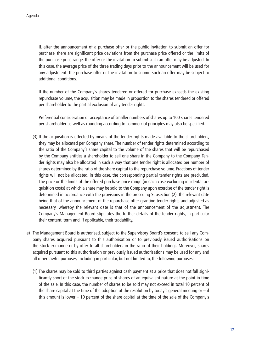If, after the announcement of a purchase offer or the public invitation to submit an offer for purchase, there are significant price deviations from the purchase price offered or the limits of the purchase price range, the offer or the invitation to submit such an offer may be adjusted. In this case, the average price of the three trading days prior to the announcement will be used for any adjustment. The purchase offer or the invitation to submit such an offer may be subject to additional conditions.

If the number of the Company's shares tendered or offered for purchase exceeds the existing repurchase volume, the acquisition may be made in proportion to the shares tendered or offered per shareholder to the partial exclusion of any tender rights.

Preferential consideration or acceptance of smaller numbers of shares up to 100 shares tendered per shareholder as well as rounding according to commercial principles may also be specified.

- (3) If the acquisition is effected by means of the tender rights made available to the shareholders, they may be allocated per Company share. The number of tender rights determined according to the ratio of the Company's share capital to the volume of the shares that will be repurchased by the Company entitles a shareholder to sell one share in the Company to the Company. Tender rights may also be allocated in such a way that one tender right is allocated per number of shares determined by the ratio of the share capital to the repurchase volume. Fractions of tender rights will not be allocated; in this case, the corresponding partial tender rights are precluded. The price or the limits of the offered purchase price range (in each case excluding incidental acquisition costs) at which a share may be sold to the Company upon exercise of the tender right is determined in accordance with the provisions in the preceding Subsection (2), the relevant date being that of the announcement of the repurchase offer granting tender rights and adjusted as necessary, whereby the relevant date is that of the announcement of the adjustment. The Company's Management Board stipulates the further details of the tender rights, in particular their content, term and, if applicable, their tradability.
- e) The Management Board is authorised, subject to the Supervisory Board's consent, to sell any Company shares acquired pursuant to this authorisation or to previously issued authorisations on the stock exchange or by offer to all shareholders in the ratio of their holdings. Moreover, shares acquired pursuant to this authorisation or previously issued authorisations may be used for any and all other lawful purposes, including in particular, but not limited to, the following purposes:
	- (1) The shares may be sold to third parties against cash payment at a price that does not fall significantly short of the stock exchange price of shares of an equivalent nature at the point in time of the sale. In this case, the number of shares to be sold may not exceed in total 10 percent of the share capital at the time of the adoption of the resolution by today's general meeting or  $-$  if this amount is lower – 10 percent of the share capital at the time of the sale of the Company's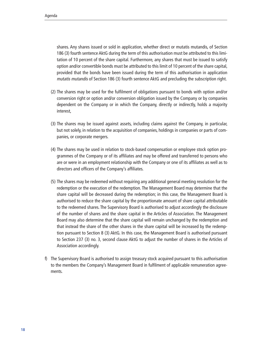shares. Any shares issued or sold in application, whether direct or mutatis mutandis, of Section 186 (3) fourth sentence AktG during the term of this authorisation must be attributed to this limitation of 10 percent of the share capital. Furthermore, any shares that must be issued to satisfy option and/or convertible bonds must be attributed to this limit of 10 percent of the share capital, provided that the bonds have been issued during the term of this authorisation in application mutatis mutandis of Section 186 (3) fourth sentence AktG and precluding the subscription right.

- (2) The shares may be used for the fulfilment of obligations pursuant to bonds with option and/or conversion right or option and/or conversion obligation issued by the Company or by companies dependent on the Company or in which the Company, directly or indirectly, holds a majority interest,
- (3) The shares may be issued against assets, including claims against the Company, in particular, but not solely, in relation to the acquisition of companies, holdings in companies or parts of companies, or corporate mergers.
- (4) The shares may be used in relation to stock-based compensation or employee stock option programmes of the Company or of its affiliates and may be offered and transferred to persons who are or were in an employment relationship with the Company or one of its affiliates as well as to directors and officers of the Company's affiliates.
- (5) The shares may be redeemed without requiring any additional general meeting resolution for the redemption or the execution of the redemption. The Management Board may determine that the share capital will be decreased during the redemption; in this case, the Management Board is authorised to reduce the share capital by the proportionate amount of share capital attributable to the redeemed shares. The Supervisory Board is authorised to adjust accordingly the disclosure of the number of shares and the share capital in the Articles of Association. The Management Board may also determine that the share capital will remain unchanged by the redemption and that instead the share of the other shares in the share capital will be increased by the redemption pursuant to Section 8 (3) AktG. In this case, the Management Board is authorised pursuant to Section 237 (3) no. 3, second clause AktG to adjust the number of shares in the Articles of Association accordingly.
- f) The Supervisory Board is authorised to assign treasury stock acquired pursuant to this authorisation to the members the Company's Management Board in fulfilment of applicable remuneration agreements.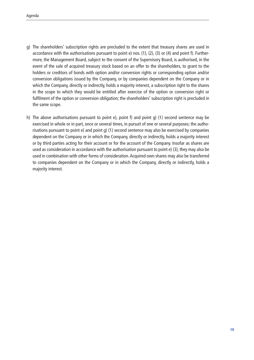- g) The shareholders' subscription rights are precluded to the extent that treasury shares are used in accordance with the authorisations pursuant to point e) nos. (1), (2), (3) or (4) and point f). Furthermore, the Management Board, subject to the consent of the Supervisory Board, is authorised, in the event of the sale of acquired treasury stock based on an offer to the shareholders, to grant to the holders or creditors of bonds with option and/or conversion rights or corresponding option and/or conversion obligations issued by the Company, or by companies dependent on the Company or in which the Company, directly or indirectly, holds a majority interest, a subscription right to the shares in the scope to which they would be entitled after exercise of the option or conversion right or fulfilment of the option or conversion obligation; the shareholders' subscription right is precluded in the same scope.
- h) The above authorisations pursuant to point e), point f) and point g) (1) second sentence may be exercised in whole or in part, once or several times, in pursuit of one or several purposes; the authorisations pursuant to point e) and point g) (1) second sentence may also be exercised by companies dependent on the Company or in which the Company, directly or indirectly, holds a majority interest or by third parties acting for their account or for the account of the Company. Insofar as shares are used as consideration in accordance with the authorisation pursuant to point e) (3), they may also be used in combination with other forms of consideration. Acquired own shares may also be transferred to companies dependent on the Company or in which the Company, directly or indirectly, holds a majority interest.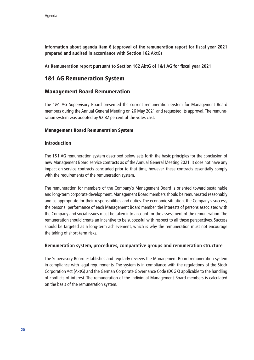**Information about agenda item 6 (approval of the remuneration report for fiscal year 2021 prepared and audited in accordance with Section 162 AktG)**

**A) Remuneration report pursuant to Section 162 AktG of 1&1 AG for fiscal year 2021**

# 1&1 AG Remuneration System

## Management Board Remuneration

The 1&1 AG Supervisory Board presented the current remuneration system for Management Board members during the Annual General Meeting on 26 May 2021 and requested its approval. The remuneration system was adopted by 92.82 percent of the votes cast.

### Management Board Remuneration System

### **Introduction**

The 1&1 AG remuneration system described below sets forth the basic principles for the conclusion of new Management Board service contracts as of the Annual General Meeting 2021. It does not have any impact on service contracts concluded prior to that time, however, these contracts essentially comply with the requirements of the remuneration system.

The remuneration for members of the Company's Management Board is oriented toward sustainable and long-term corporate development. Management Board members should be remunerated reasonably and as appropriate for their responsibilities and duties. The economic situation, the Company's success, the personal performance of each Management Board member, the interests of persons associated with the Company and social issues must be taken into account for the assessment of the remuneration. The remuneration should create an incentive to be successful with respect to all these perspectives. Success should be targeted as a long-term achievement, which is why the remuneration must not encourage the taking of short-term risks.

## **Remuneration system, procedures, comparative groups and remuneration structure**

The Supervisory Board establishes and regularly reviews the Management Board remuneration system in compliance with legal requirements. The system is in compliance with the regulations of the Stock Corporation Act (AktG) and the German Corporate Governance Code (DCGK) applicable to the handling of conflicts of interest. The remuneration of the individual Management Board members is calculated on the basis of the remuneration system.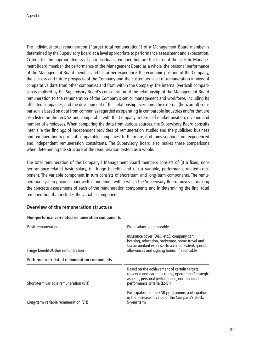The individual total remuneration ("target total remuneration") of a Management Board member is determined by the Supervisory Board at a level appropriate to performance assessment and expectation. Criteria for the appropriateness of an individual's remuneration are the tasks of the specific Management Board member, the performance of the Management Board as a whole, the personal performance of the Management Board member and his or her experience, the economic position of the Company, the success and future prospects of the Company and the customary level of remuneration in view of comparative data from other companies and from within the Company. The internal (vertical) comparison is realised by the Supervisory Board's consideration of the relationship of the Management Board remuneration to the remuneration of the Company's senior management and workforce, including its affiliated companies, and the development of this relationship over time. The external (horizontal) comparison is based on data from companies regarded as operating in comparable industries and/or that are also listed on the TecDAX and comparable with the Company in terms of market position, revenue and number of employees. When comparing the data from various sources, the Supervisory Board consults inter alia the findings of independent providers of remuneration studies and the published business and remuneration reports of comparable companies; furthermore, it obtains support from experienced and independent remuneration consultants. The Supervisory Board also makes these comparisons when determining the structure of the remuneration system as a whole.

The total remuneration of the Company's Management Board members consists of (i) a fixed, nonperformance-related basic salary, (ii) fringe benefits and (iii) a variable, performance-related component. The variable component in turn consists of short-term and long-term components. The remuneration system provides bandwidths and limits within which the Supervisory Board moves in making the concrete assessments of each of the remuneration components and in determining the final total remuneration that includes the variable component.

## **Overview of the remuneration structure**

| <b>Basic remuneration</b>                   | Fixed salary, paid monthly                                                                                                                                                                         |  |  |
|---------------------------------------------|----------------------------------------------------------------------------------------------------------------------------------------------------------------------------------------------------|--|--|
| Fringe benefits/Other remuneration          | Insurance cover (D&O etc.); company car;<br>housing, relocation, brokerage, home travel and<br>tax accountant expenses to a certain extent; special<br>allowances and signing bonus, if applicable |  |  |
| Performance-related remuneration components |                                                                                                                                                                                                    |  |  |
| Short-term variable remuneration (STI)      | Based on the achievement of certain targets<br>(revenue and earnings ratios; operational/strategic<br>aspects; personal performance; non-financial<br>performance criteria (ESG))                  |  |  |
| Long-term variable remuneration (LTI)       | Participation in the SAR programme; participation<br>in the increase in value of the Company's stock;<br>5-year term                                                                               |  |  |

#### **Non-performance-related remuneration components**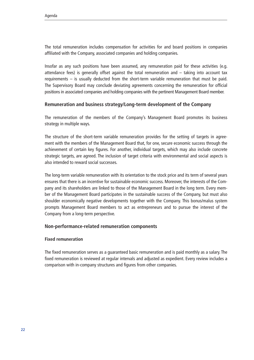The total remuneration includes compensation for activities for and board positions in companies affiliated with the Company, associated companies and holding companies.

Insofar as any such positions have been assumed, any remuneration paid for these activities (e.g. attendance fees) is generally offset against the total remuneration and – taking into account tax requirements – is usually deducted from the short-term variable remuneration that must be paid. The Supervisory Board may conclude deviating agreements concerning the remuneration for official positions in associated companies and holding companies with the pertinent Management Board member.

### **Remuneration and business strategy/Long-term development of the Company**

The remuneration of the members of the Company's Management Board promotes its business strategy in multiple ways.

The structure of the short-term variable remuneration provides for the setting of targets in agreement with the members of the Management Board that, for one, secure economic success through the achievement of certain key figures. For another, individual targets, which may also include concrete strategic targets, are agreed. The inclusion of target criteria with environmental and social aspects is also intended to reward social successes.

The long-term variable remuneration with its orientation to the stock price and its term of several years ensures that there is an incentive for sustainable economic success. Moreover, the interests of the Company and its shareholders are linked to those of the Management Board in the long term. Every member of the Management Board participates in the sustainable success of the Company, but must also shoulder economically negative developments together with the Company. This bonus/malus system prompts Management Board members to act as entrepreneurs and to pursue the interest of the Company from a long-term perspective.

#### **Non-performance-related remuneration components**

#### **Fixed remuneration**

The fixed remuneration serves as a guaranteed basic remuneration and is paid monthly as a salary. The fixed remuneration is reviewed at regular intervals and adjusted as expedient. Every review includes a comparison with in-company structures and figures from other companies.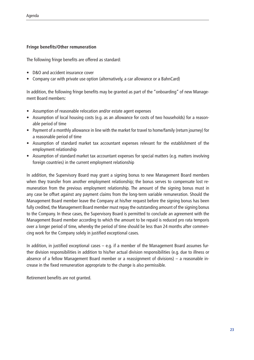#### **Fringe benefits/Other remuneration**

The following fringe benefits are offered as standard:

- D&O and accident insurance cover
- Company car with private use option (alternatively, a car allowance or a BahnCard)

In addition, the following fringe benefits may be granted as part of the "onboarding" of new Management Board members:

- Assumption of reasonable relocation and/or estate agent expenses
- Assumption of local housing costs (e.g. as an allowance for costs of two households) for a reasonable period of time
- Payment of a monthly allowance in line with the market for travel to home/family (return journey) for a reasonable period of time
- Assumption of standard market tax accountant expenses relevant for the establishment of the employment relationship
- Assumption of standard market tax accountant expenses for special matters (e.g. matters involving foreign countries) in the current employment relationship

In addition, the Supervisory Board may grant a signing bonus to new Management Board members when they transfer from another employment relationship; the bonus serves to compensate lost remuneration from the previous employment relationship. The amount of the signing bonus must in any case be offset against any payment claims from the long-term variable remuneration. Should the Management Board member leave the Company at his/her request before the signing bonus has been fully credited, the Management Board member must repay the outstanding amount of the signing bonus to the Company. In these cases, the Supervisory Board is permitted to conclude an agreement with the Management Board member according to which the amount to be repaid is reduced pro rata temporis over a longer period of time, whereby the period of time should be less than 24 months after commencing work for the Company solely in justified exceptional cases.

In addition, in justified exceptional cases  $-$  e.g. if a member of the Management Board assumes further division responsibilities in addition to his/her actual division responsibilities (e.g. due to illness or absence of a fellow Management Board member or a reassignment of divisions) – a reasonable increase in the fixed remuneration appropriate to the change is also permissible.

Retirement benefits are not granted.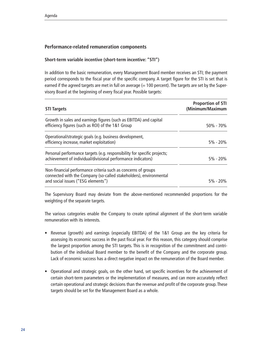## **Performance-related remuneration components**

### **Short-term variable incentive (short-term incentive: "STI")**

In addition to the basic remuneration, every Management Board member receives an STI; the payment period corresponds to the fiscal year of the specific company. A target figure for the STI is set that is earned if the agreed targets are met in full on average  $(= 100$  percent). The targets are set by the Supervisory Board at the beginning of every fiscal year. Possible targets:

| <b>STI Targets</b>                                                                                                                                                        | <b>Proportion of STI</b><br>(Minimum/Maximum |
|---------------------------------------------------------------------------------------------------------------------------------------------------------------------------|----------------------------------------------|
| Growth in sales and earnings figures (such as EBITDA) and capital<br>efficiency figures (such as ROI) of the 1&1 Group                                                    | 50% - 70%                                    |
| Operational/strategic goals (e.g. business development,<br>efficiency increase, market exploitation)                                                                      | $5\% - 20\%$                                 |
| Personal performance targets (e.g. responsibility for specific projects;<br>achievement of individual/divisional performance indicators)                                  | $5\% - 20\%$                                 |
| Non-financial performance criteria such as concerns of groups<br>connected with the Company (so-called stakeholders), environmental<br>and social issues ("ESG elements") | $5\% - 20\%$                                 |

The Supervisory Board may deviate from the above-mentioned recommended proportions for the weighting of the separate targets.

The various categories enable the Company to create optimal alignment of the short-term variable remuneration with its interests.

- Revenue (growth) and earnings (especially EBITDA) of the 1&1 Group are the key criteria for assessing its economic success in the past fiscal year. For this reason, this category should comprise the largest proportion among the STI targets. This is in recognition of the commitment and contribution of the individual Board member to the benefit of the Company and the corporate group. Lack of economic success has a direct negative impact on the remuneration of the Board member.
- Operational and strategic goals, on the other hand, set specific incentives for the achievement of certain short-term parameters or the implementation of measures, and can more accurately reflect certain operational and strategic decisions than the revenue and profit of the corporate group. These targets should be set for the Management Board as a whole.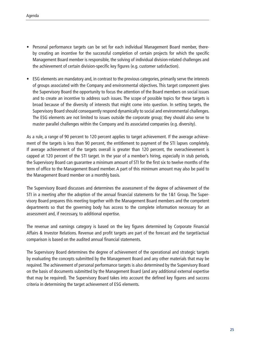- Personal performance targets can be set for each individual Management Board member, thereby creating an incentive for the successful completion of certain projects for which the specific Management Board member is responsible, the solving of individual division-related challenges and the achievement of certain division-specific key figures (e.g. customer satisfaction).
- ESG elements are mandatory and, in contrast to the previous categories, primarily serve the interests of groups associated with the Company and environmental objectives. This target component gives the Supervisory Board the opportunity to focus the attention of the Board members on social issues and to create an incentive to address such issues. The scope of possible topics for these targets is broad because of the diversity of interests that might come into question. In setting targets, the Supervisory Board should consequently respond dynamically to social and environmental challenges. The ESG elements are not limited to issues outside the corporate group; they should also serve to master parallel challenges within the Company and its associated companies (e.g. diversity).

As a rule, a range of 90 percent to 120 percent applies to target achievement. If the average achievement of the targets is less than 90 percent, the entitlement to payment of the STI lapses completely. If average achievement of the targets overall is greater than 120 percent, the overachievement is capped at 120 percent of the STI target. In the year of a member's hiring, especially in stub periods, the Supervisory Board can guarantee a minimum amount of STI for the first six to twelve months of the term of office to the Management Board member. A part of this minimum amount may also be paid to the Management Board member on a monthly basis.

The Supervisory Board discusses and determines the assessment of the degree of achievement of the STI in a meeting after the adoption of the annual financial statements for the 1&1 Group. The Supervisory Board prepares this meeting together with the Management Board members and the competent departments so that the governing body has access to the complete information necessary for an assessment and, if necessary, to additional expertise.

The revenue and earnings category is based on the key figures determined by Corporate Financial Affairs & Investor Relations. Revenue and profit targets are part of the forecast and the target/actual comparison is based on the audited annual financial statements.

The Supervisory Board determines the degree of achievement of the operational and strategic targets by evaluating the concepts submitted by the Management Board and any other materials that may be required. The achievement of personal performance targets is also determined by the Supervisory Board on the basis of documents submitted by the Management Board (and any additional external expertise that may be required). The Supervisory Board takes into account the defined key figures and success criteria in determining the target achievement of ESG elements.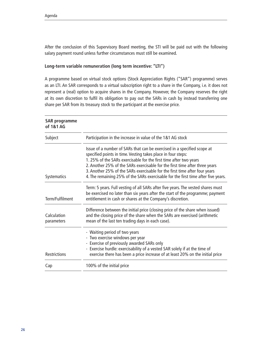After the conclusion of this Supervisory Board meeting, the STI will be paid out with the following salary payment round unless further circumstances must still be examined.

#### **Long-term variable remuneration (long term incentive: "LTI")**

A programme based on virtual stock options (Stock Appreciation Rights ("SAR") programme) serves as an LTI. An SAR corresponds to a virtual subscription right to a share in the Company, i.e. it does not represent a (real) option to acquire shares in the Company. However, the Company reserves the right at its own discretion to fulfil its obligation to pay out the SARs in cash by instead transferring one share per SAR from its treasury stock to the participant at the exercise price.

| <b>SAR programme</b><br>of 1&1 AG |                                                                                                                                                                                                                                                                                                                                                                                                                                                               |
|-----------------------------------|---------------------------------------------------------------------------------------------------------------------------------------------------------------------------------------------------------------------------------------------------------------------------------------------------------------------------------------------------------------------------------------------------------------------------------------------------------------|
| Subject                           | Participation in the increase in value of the 1&1 AG stock                                                                                                                                                                                                                                                                                                                                                                                                    |
| Systematics                       | Issue of a number of SARs that can be exercised in a specified scope at<br>specified points in time. Vesting takes place in four steps:<br>1.25% of the SARs exercisable for the first time after two years<br>2. Another 25% of the SARs exercisable for the first time after three years<br>3. Another 25% of the SARs exercisable for the first time after four years<br>4. The remaining 25% of the SARs exercisable for the first time after five years. |
| Term/Fulfilment                   | Term: 5 years. Full vesting of all SARs after five years. The vested shares must<br>be exercised no later than six years after the start of the programme; payment<br>entitlement in cash or shares at the Company's discretion.                                                                                                                                                                                                                              |
| Calculation<br>parameters         | Difference between the initial price (closing price of the share when issued)<br>and the closing price of the share when the SARs are exercised (arithmetic<br>mean of the last ten trading days in each case).                                                                                                                                                                                                                                               |
| Restrictions                      | - Waiting period of two years<br>- Two exercise windows per year<br>- Exercise of previously awarded SARs only<br>- Exercise hurdle: exercisability of a vested SAR solely if at the time of<br>exercise there has been a price increase of at least 20% on the initial price                                                                                                                                                                                 |
| Cap                               | 100% of the initial price                                                                                                                                                                                                                                                                                                                                                                                                                                     |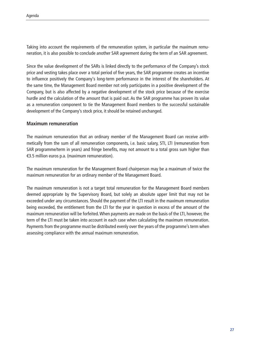Taking into account the requirements of the remuneration system, in particular the maximum remuneration, it is also possible to conclude another SAR agreement during the term of an SAR agreement.

Since the value development of the SARs is linked directly to the performance of the Company's stock price and vesting takes place over a total period of five years, the SAR programme creates an incentive to influence positively the Company's long-term performance in the interest of the shareholders. At the same time, the Management Board member not only participates in a positive development of the Company, but is also affected by a negative development of the stock price because of the exercise hurdle and the calculation of the amount that is paid out. As the SAR programme has proven its value as a remuneration component to tie the Management Board members to the successful sustainable development of the Company's stock price, it should be retained unchanged.

### **Maximum remuneration**

The maximum remuneration that an ordinary member of the Management Board can receive arithmetically from the sum of all remuneration components, i.e. basic salary, STI, LTI (remuneration from SAR programme/term in years) and fringe benefits, may not amount to a total gross sum higher than €3.5 million euros p.a. (maximum remuneration).

The maximum remuneration for the Management Board chairperson may be a maximum of twice the maximum remuneration for an ordinary member of the Management Board.

The maximum remuneration is not a target total remuneration for the Management Board members deemed appropriate by the Supervisory Board, but solely an absolute upper limit that may not be exceeded under any circumstances. Should the payment of the LTI result in the maximum remuneration being exceeded, the entitlement from the LTI for the year in question in excess of the amount of the maximum remuneration will be forfeited. When payments are made on the basis of the LTI, however, the term of the LTI must be taken into account in each case when calculating the maximum remuneration. Payments from the programme must be distributed evenly over the years of the programme's term when assessing compliance with the annual maximum remuneration.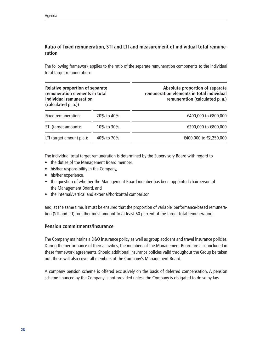## **Ratio of fixed remuneration, STI and LTI and measurement of individual total remuneration**

The following framework applies to the ratio of the separate remuneration components to the individual total target remuneration:

| Relative proportion of separate<br>remuneration elements in total<br>individual remuneration<br>(calculated p. a.)) |            | Absolute proportion of separate<br>remuneration elements in total individual<br>remuneration (calculated p. a.) |
|---------------------------------------------------------------------------------------------------------------------|------------|-----------------------------------------------------------------------------------------------------------------|
| Fixed remuneration:                                                                                                 | 20% to 40% | €400,000 to €800,000                                                                                            |
| STI (target amount):                                                                                                | 10% to 30% | €200,000 to €800,000                                                                                            |
| LTI (target amount p.a.):                                                                                           | 40% to 70% | €400,000 to €2,250,000                                                                                          |

The individual total target remuneration is determined by the Supervisory Board with regard to

- the duties of the Management Board member,
- his/her responsibility in the Company,
- his/her experience,
- the question of whether the Management Board member has been appointed chairperson of the Management Board, and
- the internal/vertical and external/horizontal comparison

and, at the same time, it must be ensured that the proportion of variable, performance-based remuneration (STI and LTI) together must amount to at least 60 percent of the target total remuneration.

#### **Pension commitments/insurance**

The Company maintains a D&O insurance policy as well as group accident and travel insurance policies. During the performance of their activities, the members of the Management Board are also included in these framework agreements. Should additional insurance policies valid throughout the Group be taken out, these will also cover all members of the Company's Management Board.

A company pension scheme is offered exclusively on the basis of deferred compensation. A pension scheme financed by the Company is not provided unless the Company is obligated to do so by law.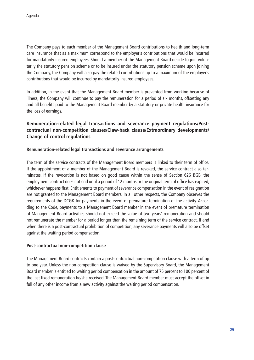The Company pays to each member of the Management Board contributions to health and long-term care insurance that as a maximum correspond to the employer's contributions that would be incurred for mandatorily insured employees. Should a member of the Management Board decide to join voluntarily the statutory pension scheme or to be insured under the statutory pension scheme upon joining the Company, the Company will also pay the related contributions up to a maximum of the employer's contributions that would be incurred by mandatorily insured employees.

In addition, in the event that the Management Board member is prevented from working because of illness, the Company will continue to pay the remuneration for a period of six months, offsetting any and all benefits paid to the Management Board member by a statutory or private health insurance for the loss of earnings.

## **Remuneration-related legal transactions and severance payment regulations/Postcontractual non-competition clauses/Claw-back clause/Extraordinary developments/ Change of control regulations**

### **Remuneration-related legal transactions and severance arrangements**

The term of the service contracts of the Management Board members is linked to their term of office. If the appointment of a member of the Management Board is revoked, the service contract also terminates. If the revocation is not based on good cause within the sense of Section 626 BGB, the employment contract does not end until a period of 12 months or the original term of office has expired, whichever happens first. Entitlements to payment of severance compensation in the event of resignation are not granted to the Management Board members. In all other respects, the Company observes the requirements of the DCGK for payments in the event of premature termination of the activity. According to the Code, payments to a Management Board member in the event of premature termination of Management Board activities should not exceed the value of two years' remuneration and should not remunerate the member for a period longer than the remaining term of the service contract. If and when there is a post-contractual prohibition of competition, any severance payments will also be offset against the waiting period compensation.

#### **Post-contractual non-competition clause**

The Management Board contracts contain a post-contractual non-competition clause with a term of up to one year. Unless the non-competition clause is waived by the Supervisory Board, the Management Board member is entitled to waiting period compensation in the amount of 75 percent to 100 percent of the last fixed remuneration he/she received. The Management Board member must accept the offset in full of any other income from a new activity against the waiting period compensation.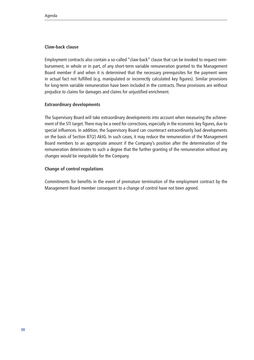#### **Claw-back clause**

Employment contracts also contain a so-called "claw-back" clause that can be invoked to request reimbursement, in whole or in part, of any short-term variable remuneration granted to the Management Board member if and when it is determined that the necessary prerequisites for the payment were in actual fact not fulfilled (e.g. manipulated or incorrectly calculated key figures). Similar provisions for long-term variable remuneration have been included in the contracts. These provisions are without prejudice to claims for damages and claims for unjustified enrichment.

#### **Extraordinary developments**

The Supervisory Board will take extraordinary developments into account when measuring the achievement of the STI target. There may be a need for corrections, especially in the economic key figures, due to special influences. In addition, the Supervisory Board can counteract extraordinarily bad developments on the basis of Section 87(2) AktG. In such cases, it may reduce the remuneration of the Management Board members to an appropriate amount if the Company's position after the determination of the remuneration deteriorates to such a degree that the further granting of the remuneration without any changes would be inequitable for the Company.

#### **Change of control regulations**

Commitments for benefits in the event of premature termination of the employment contract by the Management Board member consequent to a change of control have not been agreed.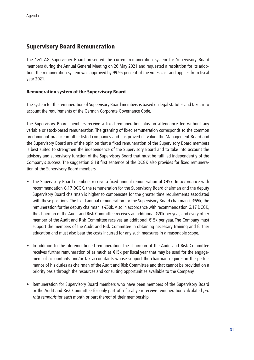# Supervisory Board Remuneration

The 1&1 AG Supervisory Board presented the current remuneration system for Supervisory Board members during the Annual General Meeting on 26 May 2021 and requested a resolution for its adoption. The remuneration system was approved by 99.95 percent of the votes cast and applies from fiscal year 2021.

## Remuneration system of the Supervisory Board

The system for the remuneration of Supervisory Board members is based on legal statutes and takes into account the requirements of the German Corporate Governance Code.

The Supervisory Board members receive a fixed remuneration plus an attendance fee without any variable or stock-based remuneration. The granting of fixed remuneration corresponds to the common predominant practice in other listed companies and has proved its value. The Management Board and the Supervisory Board are of the opinion that a fixed remuneration of the Supervisory Board members is best suited to strengthen the independence of the Supervisory Board and to take into account the advisory and supervisory function of the Supervisory Board that must be fulfilled independently of the Company's success. The suggestion G.18 first sentence of the DCGK also provides for fixed remuneration of the Supervisory Board members.

- The Supervisory Board members receive a fixed annual remuneration of €45k. In accordance with recommendation G.17 DCGK, the remuneration for the Supervisory Board chairman and the deputy Supervisory Board chairman is higher to compensate for the greater time requirements associated with these positions. The fixed annual remuneration for the Supervisory Board chairman is €55k; the remuneration for the deputy chairman is €50k. Also in accordance with recommendation G.17 DCGK, the chairman of the Audit and Risk Committee receives an additional €20k per year, and every other member of the Audit and Risk Committee receives an additional €15k per year. The Company must support the members of the Audit and Risk Committee in obtaining necessary training and further education and must also bear the costs incurred for any such measures in a reasonable scope.
- In addition to the aforementioned remuneration, the chairman of the Audit and Risk Committee receives further remuneration of as much as €15k per fiscal year that may be used for the engagement of accountants and/or tax accountants whose support the chairman requires in the performance of his duties as chairman of the Audit and Risk Committee and that cannot be provided on a priority basis through the resources and consulting opportunities available to the Company.
- Remuneration for Supervisory Board members who have been members of the Supervisory Board or the Audit and Risk Committee for only part of a fiscal year receive remuneration calculated pro rata temporis for each month or part thereof of their membership.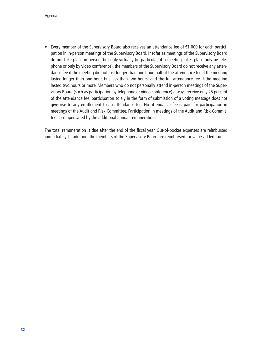• Every member of the Supervisory Board also receives an attendance fee of €1,000 for each participation in in-person meetings of the Supervisory Board. Insofar as meetings of the Supervisory Board do not take place in-person, but only virtually (in particular, if a meeting takes place only by telephone or only by video conference), the members of the Supervisory Board do not receive any attendance fee if the meeting did not last longer than one hour; half of the attendance fee if the meeting lasted longer than one hour, but less than two hours; and the full attendance fee if the meeting lasted two hours or more. Members who do not personally attend in-person meetings of the Supervisory Board (such as participation by telephone or video conference) always receive only 25 percent of the attendance fee; participation solely in the form of submission of a voting message does not give rise to any entitlement to an attendance fee. No attendance fee is paid for participation in meetings of the Audit and Risk Committee. Participation in meetings of the Audit and Risk Committee is compensated by the additional annual remuneration.

The total remuneration is due after the end of the fiscal year. Out-of-pocket expenses are reimbursed immediately. In addition, the members of the Supervisory Board are reimbursed for value-added tax.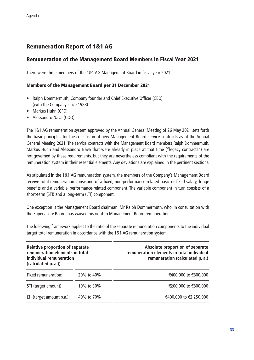# Remuneration Report of 1&1 AG

# Remuneration of the Management Board Members in Fiscal Year 2021

There were three members of the 1&1 AG Management Board in fiscal year 2021:

### Members of the Management Board per 31 December 2021

- Ralph Dommermuth, Company founder and Chief Executive Officer (CEO) (with the Company since 1988)
- Markus Huhn (CFO)
- Alessandro Nava (COO)

The 1&1 AG remuneration system approved by the Annual General Meeting of 26 May 2021 sets forth the basic principles for the conclusion of new Management Board service contracts as of the Annual General Meeting 2021. The service contracts with the Management Board members Ralph Dommermuth, Markus Huhn and Alessandro Nava that were already in place at that time ("legacy contracts") are not governed by these requirements, but they are nevertheless compliant with the requirements of the remuneration system in their essential elements. Any deviations are explained in the pertinent sections.

As stipulated in the 1&1 AG remuneration system, the members of the Company's Management Board receive total remuneration consisting of a fixed, non-performance-related basic or fixed salary, fringe benefits and a variable, performance-related component. The variable component in turn consists of a short-term (STI) and a long-term (LTI) component.

One exception is the Management Board chairman, Mr Ralph Dommermuth, who, in consultation with the Supervisory Board, has waived his right to Management Board remuneration.

The following framework applies to the ratio of the separate remuneration components to the individual target total remuneration in accordance with the 1&1 AG remuneration system:

| <b>Relative proportion of separate</b><br>remuneration elements in total<br>individual remuneration<br>(calculated p. a.)) |            | Absolute proportion of separate<br>remuneration elements in total individual<br>remuneration (calculated p. a.) |  |  |
|----------------------------------------------------------------------------------------------------------------------------|------------|-----------------------------------------------------------------------------------------------------------------|--|--|
| Fixed remuneration:                                                                                                        | 20% to 40% | €400,000 to €800,000                                                                                            |  |  |
| STI (target amount):                                                                                                       | 10% to 30% | €200,000 to €800,000                                                                                            |  |  |
| LTI (target amount p.a.):                                                                                                  | 40% to 70% | €400,000 to €2,250,000                                                                                          |  |  |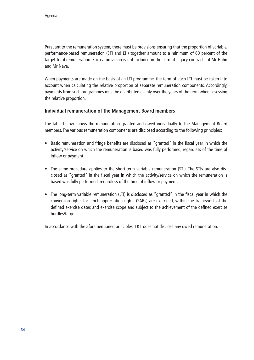Pursuant to the remuneration system, there must be provisions ensuring that the proportion of variable, performance-based remuneration (STI and LTI) together amount to a minimum of 60 percent of the target total remuneration. Such a provision is not included in the current legacy contracts of Mr Huhn and Mr Nava.

When payments are made on the basis of an LTI programme, the term of each LTI must be taken into account when calculating the relative proportion of separate remuneration components. Accordingly, payments from such programmes must be distributed evenly over the years of the term when assessing the relative proportion.

### **Individual remuneration of the Management Board members**

The table below shows the remuneration granted and owed individually to the Management Board members. The various remuneration components are disclosed according to the following principles:

- Basic remuneration and fringe benefits are disclosed as "granted" in the fiscal year in which the activity/service on which the remuneration is based was fully performed, regardless of the time of inflow or payment.
- The same procedure applies to the short-term variable remuneration (STI). The STIs are also disclosed as "granted" in the fiscal year in which the activity/service on which the remuneration is based was fully performed, regardless of the time of inflow or payment.
- The long-term variable remuneration (LTI) is disclosed as "granted" in the fiscal year in which the conversion rights for stock appreciation rights (SARs) are exercised, within the framework of the defined exercise dates and exercise scope and subject to the achievement of the defined exercise hurdles/targets.

In accordance with the aforementioned principles, 1&1 does not disclose any owed remuneration.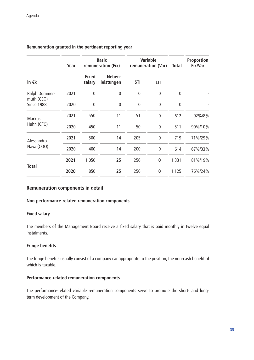| Year                        |      | <b>Basic</b><br>remuneration (Fix) |                      | <b>Variable</b><br>remuneration (Var) |                | <b>Total</b> | <b>Proportion</b><br><b>Fix/Var</b> |
|-----------------------------|------|------------------------------------|----------------------|---------------------------------------|----------------|--------------|-------------------------------------|
| in $\epsilon$ k             |      | <b>Fixed</b><br>salary             | Neben-<br>leistungen | <b>STI</b>                            | LTI            |              |                                     |
| Ralph Dommer-               | 2021 | 0                                  | $\mathbf 0$          | 0                                     | $\overline{0}$ | $\Omega$     |                                     |
| muth (CEO)<br>Since 1988    | 2020 | $\mathbf 0$                        | $\mathbf 0$          | $\mathbf 0$                           | $\overline{0}$ | $\mathbf{0}$ |                                     |
| <b>Markus</b><br>Huhn (CFO) | 2021 | 550                                | 11                   | 51                                    | $\overline{0}$ | 612          | 92%/8%                              |
|                             | 2020 | 450                                | 11                   | 50                                    | $\overline{0}$ | 511          | 90%/10%                             |
| Alessandro                  | 2021 | 500                                | 14                   | 205                                   | $\overline{0}$ | 719          | 71%/29%                             |
| Nava (COO)                  | 2020 | 400                                | 14                   | 200                                   | $\mathbf 0$    | 614          | 67%/33%                             |
| <b>Total</b>                | 2021 | 1.050                              | 25                   | 256                                   | $\bf{0}$       | 1.331        | 81%/19%                             |
|                             | 2020 | 850                                | 25                   | 250                                   | $\bf{0}$       | 1.125        | 76%/24%                             |

## **Remuneration granted in the pertinent reporting year**

#### **Remuneration components in detail**

#### **Non-performance-related remuneration components**

#### **Fixed salary**

The members of the Management Board receive a fixed salary that is paid monthly in twelve equal instalments.

#### **Fringe benefits**

The fringe benefits usually consist of a company car appropriate to the position, the non-cash benefit of which is taxable.

## **Performance-related remuneration components**

The performance-related variable remuneration components serve to promote the short- and longterm development of the Company.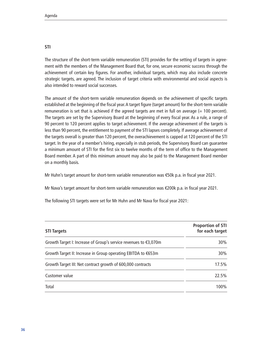The structure of the short-term variable remuneration (STI) provides for the setting of targets in agreement with the members of the Management Board that, for one, secure economic success through the achievement of certain key figures. For another, individual targets, which may also include concrete strategic targets, are agreed. The inclusion of target criteria with environmental and social aspects is also intended to reward social successes.

The amount of the short-term variable remuneration depends on the achievement of specific targets established at the beginning of the fiscal year. A target figure (target amount) for the short-term variable remuneration is set that is achieved if the agreed targets are met in full on average  $(= 100$  percent). The targets are set by the Supervisory Board at the beginning of every fiscal year. As a rule, a range of 90 percent to 120 percent applies to target achievement. If the average achievement of the targets is less than 90 percent, the entitlement to payment of the STI lapses completely. If average achievement of the targets overall is greater than 120 percent, the overachievement is capped at 120 percent of the STI target. In the year of a member's hiring, especially in stub periods, the Supervisory Board can guarantee a minimum amount of STI for the first six to twelve months of the term of office to the Management Board member. A part of this minimum amount may also be paid to the Management Board member on a monthly basis.

Mr Huhn's target amount for short-term variable remuneration was €50k p.a. in fiscal year 2021.

Mr Nava's target amount for short-term variable remuneration was €200k p.a. in fiscal year 2021.

The following STI targets were set for Mr Huhn and Mr Nava for fiscal year 2021:

| <b>STI Targets</b>                                               | <b>Proportion of STI</b><br>for each target |
|------------------------------------------------------------------|---------------------------------------------|
| Growth Target I: Increase of Group's service revenues to €3,070m | 30%                                         |
| Growth Target II: Increase in Group operating EBITDA to €653m    | 30%                                         |
| Growth Target III: Net contract growth of 600,000 contracts      | 17.5%                                       |
| Customer value                                                   | 22.5%                                       |
| Total                                                            | 100%                                        |

#### **STI**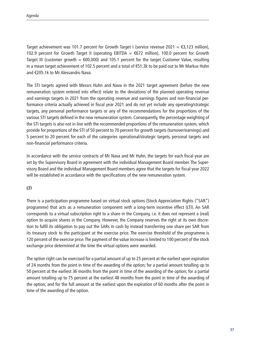Target achievement was 101.7 percent for Growth Target I (service revenue 2021 =  $\epsilon$ 3,123 million), 102.9 percent for Growth Target II (operating EBITDA = €672 million), 100.0 percent for Growth Target III (customer growth  $= 600,000$ ) and 105.1 percent for the target Customer Value, resulting in a mean target achievement of 102.5 percent and a total of €51.3k to be paid out to Mr Markus Huhn and €205.1k to Mr Alessandro Nava.

The STI targets agreed with Messrs Huhn and Nava in the 2021 target agreement (before the new remuneration system entered into effect) relate to the deviations of the planned operating revenue and earnings targets in 2021 from the operating revenue and earnings figures and non-financial performance criteria actually achieved in fiscal year 2021 and do not yet include any operating/strategic targets, any personal performance targets or any of the recommendations for the proportions of the various STI targets defined in the new remuneration system. Consequently, the percentage weighting of the STI targets is also not in line with the recommended proportions of the remuneration system, which provide for proportions of the STI of 50 percent to 70 percent for growth targets (turnover/earnings) and 5 percent to 20 percent for each of the categories operational/strategic targets, personal targets and non-financial performance criteria.

In accordance with the service contracts of Mr Nava and Mr Huhn, the targets for each fiscal year are set by the Supervisory Board in agreement with the individual Management Board member. The Supervisory Board and the individual Management Board members agree that the targets for fiscal year 2022 will be established in accordance with the specifications of the new remuneration system.

### **LTI**

There is a participation programme based on virtual stock options (Stock Appreciation Rights ("SAR") programme) that acts as a remuneration component with a long-term incentive effect (LTI). An SAR corresponds to a virtual subscription right to a share in the Company, i.e. it does not represent a (real) option to acquire shares in the Company. However, the Company reserves the right at its own discretion to fulfil its obligation to pay out the SARs in cash by instead transferring one share per SAR from its treasury stock to the participant at the exercise price. The exercise threshold of the programme is 120 percent of the exercise price. The payment of the value increase is limited to 100 percent of the stock exchange price determined at the time the virtual options were awarded.

The option right can be exercised for a partial amount of up to 25 percent at the earliest upon expiration of 24 months from the point in time of the awarding of the option; for a partial amount totalling up to 50 percent at the earliest 36 months from the point in time of the awarding of the option; for a partial amount totalling up to 75 percent at the earliest 48 months from the point in time of the awarding of the option; and for the full amount at the earliest upon the expiration of 60 months after the point in time of the awarding of the option.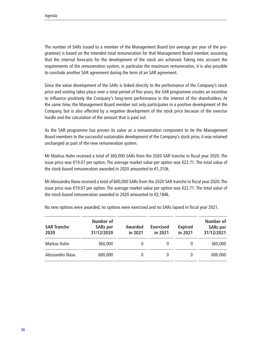The number of SARs issued to a member of the Management Board (on average per year of the programme) is based on the intended total remuneration for that Management Board member, assuming that the internal forecasts for the development of the stock are achieved. Taking into account the requirements of the remuneration system, in particular the maximum remuneration, it is also possible to conclude another SAR agreement during the term of an SAR agreement.

Since the value development of the SARs is linked directly to the performance of the Company's stock price and vesting takes place over a total period of five years, the SAR programme creates an incentive to influence positively the Company's long-term performance in the interest of the shareholders. At the same time, the Management Board member not only participates in a positive development of the Company, but is also affected by a negative development of the stock price because of the exercise hurdle and the calculation of the amount that is paid out.

As the SAR programme has proven its value as a remuneration component to tie the Management Board members to the successful sustainable development of the Company's stock price, it was retained unchanged as part of the new remuneration system.

Mr Markus Huhn received a total of 360,000 SARs from the 2020 SAR tranche in fiscal year 2020. The issue price was €19.07 per option. The average market value per option was €22.71. The total value of the stock-based remuneration awarded in 2020 amounted to €1,310k.

Mr Alessandro Nava received a total of 600,000 SARs from the 2020 SAR tranche in fiscal year 2020. The issue price was €19.07 per option. The average market value per option was €22.71. The total value of the stock-based remuneration awarded in 2020 amounted to €2,184k.

| <b>SAR Tranche</b><br>2020 | Number of<br><b>SARs</b> per<br>31/12/2020 | <b>Awarded</b><br>in 2021 | <b>Exercised</b><br>in 2021 | <b>Expired</b><br>in 2021 | Number of<br><b>SARs</b> per<br>31/12/2021 |
|----------------------------|--------------------------------------------|---------------------------|-----------------------------|---------------------------|--------------------------------------------|
| Markus Huhn                | 360,000                                    |                           | $\theta$                    |                           | 360,000                                    |
| Alessandro Nava            | 600,000                                    | 0                         | $\theta$                    |                           | 600,000                                    |

No new options were awarded, no options were exercised and no SARs lapsed in fiscal year 2021.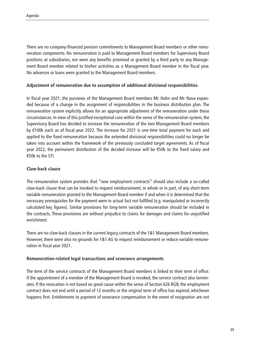There are no company-financed pension commitments to Management Board members or other remuneration components. No remuneration is paid to Management Board members for Supervisory Board positions at subsidiaries, nor were any benefits promised or granted by a third party to any Management Board member related to his/her activities as a Management Board member in the fiscal year. No advances or loans were granted to the Management Board members.

#### **Adjustment of remuneration due to assumption of additional divisional responsibilities**

In fiscal year 2021, the purviews of the Management Board members Mr. Huhn and Mr. Nava expanded because of a change in the assignment of responsibilities in the business distribution plan. The remuneration system explicitly allows for an appropriate adjustment of the remuneration under these circumstances. In view of this justified exceptional case within the sense of the remuneration system, the Supervisory Board has decided to increase the remuneration of the two Management Board members by €100k each as of fiscal year 2022. The increase for 2021 is one-time total payment for each and applied to the fixed remuneration because the extended divisional responsibilities could no longer be taken into account within the framework of the previously concluded target agreements. As of fiscal year 2022, the permanent distribution of the decided increase will be €50k to the fixed salary and €50k to the STI.

### **Claw-back clause**

The remuneration system provides that "new employment contracts" should also include a so-called claw-back clause that can be invoked to request reimbursement, in whole or in part, of any short-term variable remuneration granted to the Management Board member if and when it is determined that the necessary prerequisites for the payment were in actual fact not fulfilled (e.g. manipulated or incorrectly calculated key figures). Similar provisions for long-term variable remuneration should be included in the contracts. These provisions are without prejudice to claims for damages and claims for unjustified enrichment.

There are no claw-back clauses in the current legacy contracts of the 1&1 Management Board members. However, there were also no grounds for 1&1 AG to request reimbursement or reduce variable remuneration in fiscal year 2021.

#### **Remuneration-related legal transactions and severance arrangements**

The term of the service contracts of the Management Board members is linked to their term of office. If the appointment of a member of the Management Board is revoked, the service contract also terminates. If the revocation is not based on good cause within the sense of Section 626 BGB, the employment contract does not end until a period of 12 months or the original term of office has expired, whichever happens first. Entitlements to payment of severance compensation in the event of resignation are not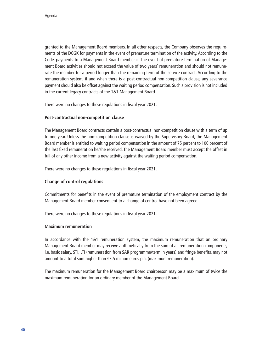granted to the Management Board members. In all other respects, the Company observes the requirements of the DCGK for payments in the event of premature termination of the activity. According to the Code, payments to a Management Board member in the event of premature termination of Management Board activities should not exceed the value of two years' remuneration and should not remunerate the member for a period longer than the remaining term of the service contract. According to the remuneration system, if and when there is a post-contractual non-competition clause, any severance payment should also be offset against the waiting period compensation. Such a provision is not included in the current legacy contracts of the 1&1 Management Board.

There were no changes to these regulations in fiscal year 2021.

#### **Post-contractual non-competition clause**

The Management Board contracts contain a post-contractual non-competition clause with a term of up to one year. Unless the non-competition clause is waived by the Supervisory Board, the Management Board member is entitled to waiting period compensation in the amount of 75 percent to 100 percent of the last fixed remuneration he/she received. The Management Board member must accept the offset in full of any other income from a new activity against the waiting period compensation.

There were no changes to these regulations in fiscal year 2021.

#### **Change of control regulations**

Commitments for benefits in the event of premature termination of the employment contract by the Management Board member consequent to a change of control have not been agreed.

There were no changes to these regulations in fiscal year 2021.

#### **Maximum remuneration**

In accordance with the 1&1 remuneration system, the maximum remuneration that an ordinary Management Board member may receive arithmetically from the sum of all remuneration components, i.e. basic salary, STI, LTI (remuneration from SAR programme/term in years) and fringe benefits, may not amount to a total sum higher than €3.5 million euros p.a. (maximum remuneration).

The maximum remuneration for the Management Board chairperson may be a maximum of twice the maximum remuneration for an ordinary member of the Management Board.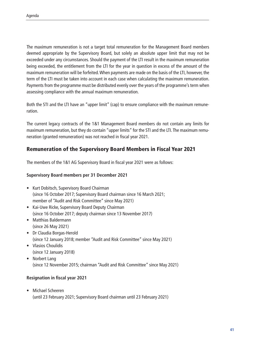The maximum remuneration is not a target total remuneration for the Management Board members deemed appropriate by the Supervisory Board, but solely an absolute upper limit that may not be exceeded under any circumstances. Should the payment of the LTI result in the maximum remuneration being exceeded, the entitlement from the LTI for the year in question in excess of the amount of the maximum remuneration will be forfeited. When payments are made on the basis of the LTI, however, the term of the LTI must be taken into account in each case when calculating the maximum remuneration. Payments from the programme must be distributed evenly over the years of the programme's term when assessing compliance with the annual maximum remuneration.

Both the STI and the LTI have an "upper limit" (cap) to ensure compliance with the maximum remuneration.

The current legacy contracts of the 1&1 Management Board members do not contain any limits for maximum remuneration, but they do contain "upper limits" for the STI and the LTI. The maximum remuneration (granted remuneration) was not reached in fiscal year 2021.

# Remuneration of the Supervisory Board Members in Fiscal Year 2021

The members of the 1&1 AG Supervisory Board in fiscal year 2021 were as follows:

### **Supervisory Board members per 31 December 2021**

- Kurt Dobitsch, Supervisory Board Chairman (since 16 October 2017; Supervisory Board chairman since 16 March 2021; member of "Audit and Risk Committee" since May 2021)
- Kai-Uwe Ricke, Supervisory Board Deputy Chairman (since 16 October 2017; deputy chairman since 13 November 2017)
- Matthias Baldermann (since 26 May 2021)
- Dr Claudia Borgas-Herold (since 12 January 2018; member "Audit and Risk Committee" since May 2021)
- Vlasios Choulidis (since 12 January 2018)
- Norbert Lang (since 12 November 2015; chairman "Audit and Risk Committee" since May 2021)

### **Resignation in fiscal year 2021**

• Michael Scheeren (until 23 February 2021; Supervisory Board chairman until 23 February 2021)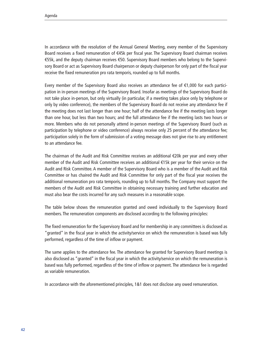In accordance with the resolution of the Annual General Meeting, every member of the Supervisory Board receives a fixed remuneration of €45k per fiscal year. The Supervisory Board chairman receives €55k, and the deputy chairman receives €50. Supervisory Board members who belong to the Supervisory Board or act as Supervisory Board chairperson or deputy chairperson for only part of the fiscal year receive the fixed remuneration pro rata temporis, rounded up to full months.

Every member of the Supervisory Board also receives an attendance fee of €1,000 for each participation in in-person meetings of the Supervisory Board. Insofar as meetings of the Supervisory Board do not take place in-person, but only virtually (in particular, if a meeting takes place only by telephone or only by video conference), the members of the Supervisory Board do not receive any attendance fee if the meeting does not last longer than one hour; half of the attendance fee if the meeting lasts longer than one hour, but less than two hours; and the full attendance fee if the meeting lasts two hours or more. Members who do not personally attend in-person meetings of the Supervisory Board (such as participation by telephone or video conference) always receive only 25 percent of the attendance fee; participation solely in the form of submission of a voting message does not give rise to any entitlement to an attendance fee.

The chairman of the Audit and Risk Committee receives an additional €20k per year and every other member of the Audit and Risk Committee receives an additional €15k per year for their service on the Audit and Risk Committee. A member of the Supervisory Board who is a member of the Audit and Risk Committee or has chaired the Audit and Risk Committee for only part of the fiscal year receives the additional remuneration pro rata temporis, rounding up to full months. The Company must support the members of the Audit and Risk Committee in obtaining necessary training and further education and must also bear the costs incurred for any such measures in a reasonable scope.

The table below shows the remuneration granted and owed individually to the Supervisory Board members. The remuneration components are disclosed according to the following principles:

The fixed remuneration for the Supervisory Board and for membership in any committees is disclosed as "granted" in the fiscal year in which the activity/service on which the remuneration is based was fully performed, regardless of the time of inflow or payment.

The same applies to the attendance fee. The attendance fee granted for Supervisory Board meetings is also disclosed as "granted" in the fiscal year in which the activity/service on which the remuneration is based was fully performed, regardless of the time of inflow or payment. The attendance fee is regarded as variable remuneration.

In accordance with the aforementioned principles, 1&1 does not disclose any owed remuneration.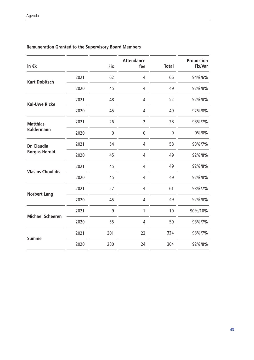| in $\epsilon$ k                      |      | <b>Fix</b>  | <b>Attendance</b><br>fee | <b>Total</b> | <b>Proportion</b><br><b>Fix/Var</b> |
|--------------------------------------|------|-------------|--------------------------|--------------|-------------------------------------|
| <b>Kurt Dobitsch</b>                 | 2021 | 62          | $\overline{4}$           | 66           | 94%/6%                              |
|                                      | 2020 | 45          | 4                        | 49           | 92%/8%                              |
| <b>Kai-Uwe Ricke</b>                 | 2021 | 48          | 4                        | 52           | 92%/8%                              |
|                                      | 2020 | 45          | $\overline{4}$           | 49           | 92%/8%                              |
| <b>Matthias</b><br><b>Baldermann</b> | 2021 | 26          | $\overline{2}$           | 28           | 93%/7%                              |
|                                      | 2020 | $\mathbf 0$ | $\mathbf 0$              | $\mathbf 0$  | 0%/0%                               |
| Dr. Claudia<br><b>Borgas-Herold</b>  | 2021 | 54          | 4                        | 58           | 93%/7%                              |
|                                      | 2020 | 45          | 4                        | 49           | 92%/8%                              |
| <b>Vlasios Choulidis</b>             | 2021 | 45          | $\sqrt{4}$               | 49           | 92%/8%                              |
|                                      | 2020 | 45          | $\overline{4}$           | 49           | 92%/8%                              |
| <b>Norbert Lang</b>                  | 2021 | 57          | $\overline{4}$           | 61           | 93%/7%                              |
|                                      | 2020 | 45          | $\overline{4}$           | 49           | 92%/8%                              |
| <b>Michael Scheeren</b>              | 2021 | 9           | 1                        | 10           | 90%/10%                             |
|                                      | 2020 | 55          | $\overline{4}$           | 59           | 93%/7%                              |
| <b>Summe</b>                         | 2021 | 301         | 23                       | 324          | 93%/7%                              |
|                                      | 2020 | 280         | 24                       | 304          | 92%/8%                              |

## **Remuneration Granted to the Supervisory Board Members**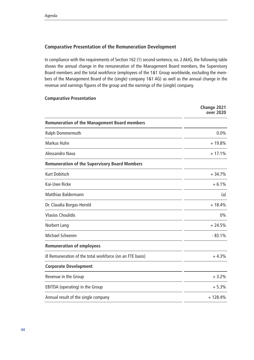### **Comparative Presentation of the Remuneration Development**

In compliance with the requirements of Section 162 (1) second sentence, no. 2 AktG, the following table shows the annual change in the remuneration of the Management Board members, the Supervisory Board members and the total workforce (employees of the 1&1 Group worldwide, excluding the members of the Management Board of the (single) company 1&1 AG) as well as the annual change in the revenue and earnings figures of the group and the earnings of the (single) company.

#### **Comparative Presentation**

|                                                         | Change 2021<br>over 2020 |
|---------------------------------------------------------|--------------------------|
| <b>Remuneration of the Management Board members</b>     |                          |
| Ralph Dommermuth                                        | 0.0%                     |
| Markus Huhn                                             | $+19.8%$                 |
| Alessandro Nava                                         | $+17.1%$                 |
| <b>Remuneration of the Supervisory Board Members</b>    |                          |
| <b>Kurt Dobitsch</b>                                    | $+34.7%$                 |
| Kai-Uwe Ricke                                           | $+6.1%$                  |
| <b>Matthias Baldermann</b>                              | (a)                      |
| Dr. Claudia Borgas-Herold                               | $+18.4%$                 |
| <b>Vlasios Choulidis</b>                                | 0%                       |
| Norbert Lang                                            | $+24.5%$                 |
| Michael Scheeren                                        | $-83.1%$                 |
| <b>Remuneration of employees</b>                        |                          |
| Ø Remuneration of the total workforce (on an FTE basis) | $+4.3%$                  |
| <b>Corporate Development</b>                            |                          |
| Revenue in the Group                                    | $+3.2%$                  |
| EBITDA (operating) in the Group                         | $+5.3%$                  |
| Annual result of the single company                     | $+128.4%$                |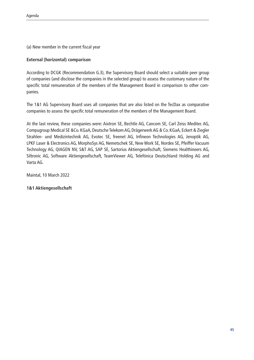(a) New member in the current fiscal year

### **External (horizontal) comparison**

According to DCGK (Recommendation G.3), the Supervisory Board should select a suitable peer group of companies (and disclose the companies in the selected group) to assess the customary nature of the specific total remuneration of the members of the Management Board in comparison to other companies.

The 1&1 AG Supervisory Board uses all companies that are also listed on the TecDax as comparative companies to assess the specific total remuneration of the members of the Management Board.

At the last review, these companies were: Aixtron SE, Bechtle AG, Cancom SE, Carl Zeiss Meditec AG, Compugroup Medical SE &Co. KGaA, Deutsche Telekom AG, Drägerwerk AG & Co. KGaA, Eckert & Ziegler Strahlen- und Medizintechnik AG, Evotec SE, freenet AG, Infineon Technologies AG, Jenoptik AG, LPKF Laser & Electronics AG, MorphoSys AG, Nemetschek SE, New Work SE, Nordex SE, Pfeiffer Vacuum Technology AG, QIAGEN NV, S&T AG, SAP SE, Sartorius Aktiengesellschaft, Siemens Healthineers AG, Siltronic AG, Software Aktiengesellschaft, TeamViewer AG, Telefónica Deutschland Holding AG and Varta AG.

Maintal, 10 March 2022

### **1&1 Aktiengesellschaft**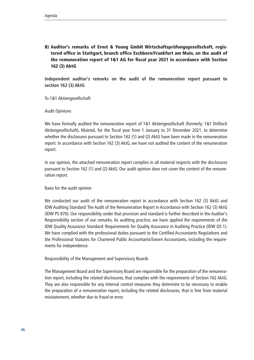B) Auditor's remarks of Ernst & Young GmbH Wirtschaftsprüfungsgesellschaft, registered office in Stuttgart, branch office Eschborn/Frankfurt am Main, on the audit of the remuneration report of 1&1 AG for fiscal year 2021 in accordance with Section 162 (3) AktG

**Independent auditor's remarks on the audit of the remuneration report pursuant to section 162 (3) AktG**

To 1&1 Aktiengesellschaft

Audit Opinions

We have formally audited the remuneration report of 1&1 Aktiengesellschaft (formerly: 1&1 Drillisch Aktiengesellschaft), Maintal, for the fiscal year from 1 January to 31 December 2021, to determine whether the disclosures pursuant to Section 162 (1) and (2) AktG have been made in the remuneration report. In accordance with Section 162 (3) AktG, we have not audited the content of the remuneration report.

In our opinion, the attached remuneration report complies in all material respects with the disclosures pursuant to Section 162 (1) and (2) AktG. Our audit opinion does not cover the content of the remuneration report.

Basis for the audit opinion

We conducted our audit of the remuneration report in accordance with Section 162 (3) AktG and IDW Auditing Standard: The Audit of the Remuneration Report in Accordance with Section 162 (3) AktG (IDW PS 870). Our responsibility under that provision and standard is further described in the Auditor's Responsibility section of our remarks. As auditing practice, we have applied the requirements of the IDW Quality Assurance Standard: Requirements for Quality Assurance in Auditing Practice (IDW QS 1). We have complied with the professional duties pursuant to the Certified Accountants Regulations and the Professional Statutes for Chartered Public Accountants/Sworn Accountants, including the requirements for independence.

Responsibility of the Management and Supervisory Boards

The Management Board and the Supervisory Board are responsible for the preparation of the remuneration report, including the related disclosures, that complies with the requirements of Section 162 AktG. They are also responsible for any internal control measures they determine to be necessary to enable the preparation of a remuneration report, including the related disclosures, that is free from material misstatement, whether due to fraud or error.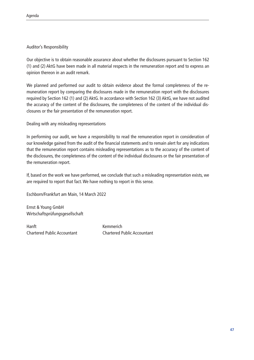### Auditor's Responsibility

Our objective is to obtain reasonable assurance about whether the disclosures pursuant to Section 162 (1) and (2) AktG have been made in all material respects in the remuneration report and to express an opinion thereon in an audit remark.

We planned and performed our audit to obtain evidence about the formal completeness of the remuneration report by comparing the disclosures made in the remuneration report with the disclosures required by Section 162 (1) and (2) AktG. In accordance with Section 162 (3) AktG, we have not audited the accuracy of the content of the disclosures, the completeness of the content of the individual disclosures or the fair presentation of the remuneration report.

Dealing with any misleading representations

In performing our audit, we have a responsibility to read the remuneration report in consideration of our knowledge gained from the audit of the financial statements and to remain alert for any indications that the remuneration report contains misleading representations as to the accuracy of the content of the disclosures, the completeness of the content of the individual disclosures or the fair presentation of the remuneration report.

If, based on the work we have performed, we conclude that such a misleading representation exists, we are required to report that fact. We have nothing to report in this sense.

Eschborn/Frankfurt am Main, 14 March 2022

Ernst & Young GmbH Wirtschaftsprüfungsgesellschaft

Hanft Kemmerich

Chartered Public Accountant Chartered Public Accountant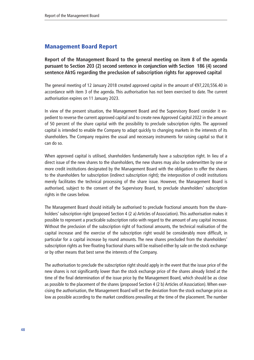# Management Board Report

**Report of the Management Board to the general meeting on item 8 of the agenda pursuant to Section 203 (2) second sentence in conjunction with Section 186 (4) second sentence AktG regarding the preclusion of subscription rights for approved capital** 

The general meeting of 12 January 2018 created approved capital in the amount of €97,220,556.40 in accordance with item 3 of the agenda. This authorisation has not been exercised to date. The current authorisation expires on 11 January 2023.

In view of the present situation, the Management Board and the Supervisory Board consider it expedient to reverse the current approved capital and to create new Approved Capital 2022 in the amount of 50 percent of the share capital with the possibility to preclude subscription rights. The approved capital is intended to enable the Company to adapt quickly to changing markets in the interests of its shareholders. The Company requires the usual and necessary instruments for raising capital so that it can do so.

When approved capital is utilised, shareholders fundamentally have a subscription right. In lieu of a direct issue of the new shares to the shareholders, the new shares may also be underwritten by one or more credit institutions designated by the Management Board with the obligation to offer the shares to the shareholders for subscription (indirect subscription right); the interposition of credit institutions merely facilitates the technical processing of the share issue. However, the Management Board is authorised, subject to the consent of the Supervisory Board, to preclude shareholders' subscription rights in the cases below.

The Management Board should initially be authorised to preclude fractional amounts from the shareholders' subscription right (proposed Section 4 (2 a) Articles of Association). This authorisation makes it possible to represent a practicable subscription ratio with regard to the amount of any capital increase. Without the preclusion of the subscription right of fractional amounts, the technical realisation of the capital increase and the exercise of the subscription right would be considerably more difficult, in particular for a capital increase by round amounts. The new shares precluded from the shareholders' subscription rights as free-floating fractional shares will be realised either by sale on the stock exchange or by other means that best serve the interests of the Company.

The authorisation to preclude the subscription right should apply in the event that the issue price of the new shares is not significantly lower than the stock exchange price of the shares already listed at the time of the final determination of the issue price by the Management Board, which should be as close as possible to the placement of the shares (proposed Section 4 (2 b) Articles of Association). When exercising the authorisation, the Management Board will set the deviation from the stock exchange price as low as possible according to the market conditions prevailing at the time of the placement. The number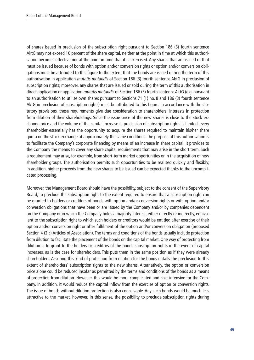of shares issued in preclusion of the subscription right pursuant to Section 186 (3) fourth sentence AktG may not exceed 10 percent of the share capital, neither at the point in time at which this authorisation becomes effective nor at the point in time that it is exercised. Any shares that are issued or that must be issued because of bonds with option and/or conversion rights or option and/or conversion obligations must be attributed to this figure to the extent that the bonds are issued during the term of this authorisation in application mutatis mutandis of Section 186 (3) fourth sentence AktG in preclusion of subscription rights; moreover, any shares that are issued or sold during the term of this authorisation in direct application or application mutatis mutandis of Section 186 (3) fourth sentence AktG (e.g. pursuant to an authorisation to utilise own shares pursuant to Sections 71 (1) no. 8 and 186 (3) fourth sentence AktG in preclusion of subscription rights) must be attributed to this figure. In accordance with the statutory provisions, these requirements give due consideration to shareholders' interests in protection from dilution of their shareholdings. Since the issue price of the new shares is close to the stock exchange price and the volume of the capital increase in preclusion of subscription rights is limited, every shareholder essentially has the opportunity to acquire the shares required to maintain his/her share quota on the stock exchange at approximately the same conditions. The purpose of this authorisation is to facilitate the Company's corporate financing by means of an increase in share capital. It provides to the Company the means to cover any share capital requirements that may arise in the short term. Such a requirement may arise, for example, from short-term market opportunities or in the acquisition of new shareholder groups. The authorisation permits such opportunities to be realised quickly and flexibly; in addition, higher proceeds from the new shares to be issued can be expected thanks to the uncomplicated processing.

Moreover, the Management Board should have the possibility, subject to the consent of the Supervisory Board, to preclude the subscription right to the extent required to ensure that a subscription right can be granted to holders or creditors of bonds with option and/or conversion rights or with option and/or conversion obligations that have been or are issued by the Company and/or by companies dependent on the Company or in which the Company holds a majority interest, either directly or indirectly, equivalent to the subscription right to which such holders or creditors would be entitled after exercise of their option and/or conversion right or after fulfilment of the option and/or conversion obligation (proposed Section 4 (2 c) Articles of Association). The terms and conditions of the bonds usually include protection from dilution to facilitate the placement of the bonds on the capital market. One way of protecting from dilution is to grant to the holders or creditors of the bonds subscription rights in the event of capital increases, as is the case for shareholders. This puts them in the same position as if they were already shareholders. Assuring this kind of protection from dilution for the bonds entails the preclusion to this extent of shareholders' subscription rights to the new shares. Alternatively, the option or conversion price alone could be reduced insofar as permitted by the terms and conditions of the bonds as a means of protection from dilution. However, this would be more complicated and cost-intensive for the Company. In addition, it would reduce the capital inflow from the exercise of option or conversion rights. The issue of bonds without dilution protection is also conceivable. Any such bonds would be much less attractive to the market, however. In this sense, the possibility to preclude subscription rights during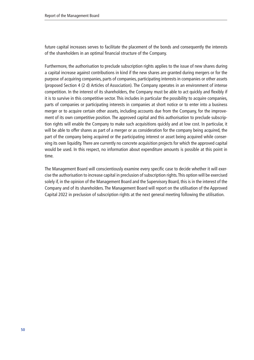future capital increases serves to facilitate the placement of the bonds and consequently the interests of the shareholders in an optimal financial structure of the Company.

Furthermore, the authorisation to preclude subscription rights applies to the issue of new shares during a capital increase against contributions in kind if the new shares are granted during mergers or for the purpose of acquiring companies, parts of companies, participating interests in companies or other assets (proposed Section 4 (2 d) Articles of Association). The Company operates in an environment of intense competition. In the interest of its shareholders, the Company must be able to act quickly and flexibly if it is to survive in this competitive sector. This includes in particular the possibility to acquire companies, parts of companies or participating interests in companies at short notice or to enter into a business merger or to acquire certain other assets, including accounts due from the Company, for the improvement of its own competitive position. The approved capital and this authorisation to preclude subscription rights will enable the Company to make such acquisitions quickly and at low cost. In particular, it will be able to offer shares as part of a merger or as consideration for the company being acquired, the part of the company being acquired or the participating interest or asset being acquired while conserving its own liquidity. There are currently no concrete acquisition projects for which the approved capital would be used. In this respect, no information about expenditure amounts is possible at this point in time.

The Management Board will conscientiously examine every specific case to decide whether it will exercise the authorisation to increase capital in preclusion of subscription rights. This option will be exercised solely if, in the opinion of the Management Board and the Supervisory Board, this is in the interest of the Company and of its shareholders. The Management Board will report on the utilisation of the Approved Capital 2022 in preclusion of subscription rights at the next general meeting following the utilisation.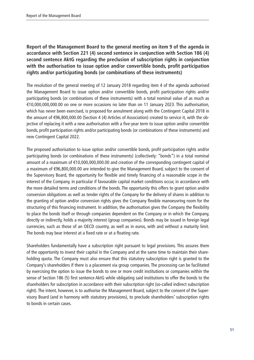## **Report of the Management Board to the general meeting on item 9 of the agenda in accordance with Section 221 (4) second sentence in conjunction with Section 186 (4) second sentence AktG regarding the preclusion of subscription rights in conjunction with the authorisation to issue option and/or convertible bonds, profit participation rights and/or participating bonds (or combinations of these instruments)**

The resolution of the general meeting of 12 January 2018 regarding item 4 of the agenda authorised the Management Board to issue option and/or convertible bonds, profit participation rights and/or participating bonds (or combinations of these instruments) with a total nominal value of as much as €10,000,000,000.00 on one or more occasions no later than on 11 January 2023. This authorisation, which has never been exercised, is proposed for annulment along with the Contingent Capital 2018 in the amount of €96,800,000.00 (Section 4 (4) Articles of Association) created to service it, with the objective of replacing it with a new authorisation with a five-year term to issue option and/or convertible bonds, profit participation rights and/or participating bonds (or combinations of these instruments) and new Contingent Capital 2022.

The proposed authorisation to issue option and/or convertible bonds, profit participation rights and/or participating bonds (or combinations of these instruments) (collectively: "bonds") in a total nominal amount of a maximum of €10,000,000,000.00 and creation of the corresponding contingent capital of a maximum of €96,800,000.00 are intended to give the Management Board, subject to the consent of the Supervisory Board, the opportunity for flexible and timely financing of a reasonable scope in the interest of the Company, in particular if favourable capital market conditions occur, in accordance with the more detailed terms and conditions of the bonds. The opportunity this offers to grant option and/or conversion obligations as well as tender rights of the Company for the delivery of shares in addition to the granting of option and/or conversion rights gives the Company flexible manoeuvring room for the structuring of this financing instrument. In addition, the authorisation gives the Company the flexibility to place the bonds itself or through companies dependent on the Company or in which the Company, directly or indirectly, holds a majority interest (group companies). Bonds may be issued in foreign legal currencies, such as those of an OECD country, as well as in euros, with and without a maturity limit. The bonds may bear interest at a fixed rate or at a floating rate.

Shareholders fundamentally have a subscription right pursuant to legal provisions. This assures them of the opportunity to invest their capital in the Company and at the same time to maintain their shareholding quota. The Company must also ensure that this statutory subscription right is granted to the Company's shareholders if there is a placement via group companies. The processing can be facilitated by exercising the option to issue the bonds to one or more credit institutions or companies within the sense of Section 186 (5) first sentence AktG while obligating said institutions to offer the bonds to the shareholders for subscription in accordance with their subscription right (so-called indirect subscription right). The intent, however, is to authorise the Management Board, subject to the consent of the Supervisory Board (and in harmony with statutory provisions), to preclude shareholders' subscription rights to bonds in certain cases.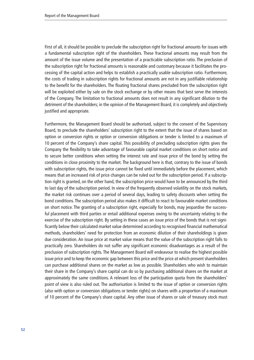First of all, it should be possible to preclude the subscription right for fractional amounts for issues with a fundamental subscription right of the shareholders. These fractional amounts may result from the amount of the issue volume and the presentation of a practicable subscription ratio. The preclusion of the subscription right for fractional amounts is reasonable and customary because it facilitates the processing of the capital action and helps to establish a practically usable subscription ratio. Furthermore, the costs of trading in subscription rights for fractional amounts are not in any justifiable relationship to the benefit for the shareholders. The floating fractional shares precluded from the subscription right will be exploited either by sale on the stock exchange or by other means that best serve the interests of the Company. The limitation to fractional amounts does not result in any significant dilution to the detriment of the shareholders; in the opinion of the Management Board, it is completely and objectively justified and appropriate.

Furthermore, the Management Board should be authorised, subject to the consent of the Supervisory Board, to preclude the shareholders' subscription right to the extent that the issue of shares based on option or conversion rights or option or conversion obligations or tender is limited to a maximum of 10 percent of the Company's share capital. This possibility of precluding subscription rights gives the Company the flexibility to take advantage of favourable capital market conditions on short notice and to secure better conditions when setting the interest rate and issue price of the bond by setting the conditions in close proximity to the market. The background here is that, contrary to the issue of bonds with subscription rights, the issue price cannot be fixed until immediately before the placement, which means that an increased risk of price changes can be ruled out for the subscription period. If a subscription right is granted, on the other hand, the subscription price would have to be announced by the third to last day of the subscription period. In view of the frequently observed volatility on the stock markets, the market risk continues over a period of several days, leading to safety discounts when setting the bond conditions. The subscription period also makes it difficult to react to favourable market conditions on short notice. The granting of a subscription right, especially for bonds, may jeopardise the successful placement with third parties or entail additional expenses owing to the uncertainty relating to the exercise of the subscription right. By setting in these cases an issue price of the bonds that is not significantly below their calculated market value determined according to recognised financial mathematical methods, shareholders' need for protection from an economic dilution of their shareholdings is given due consideration. An issue price at market value means that the value of the subscription right falls to practically zero. Shareholders do not suffer any significant economic disadvantages as a result of the preclusion of subscription rights. The Management Board will endeavour to realise the highest possible issue price and to keep the economic gap between this price and the price at which present shareholders can purchase additional shares on the market as low as possible. Shareholders who wish to maintain their share in the Company's share capital can do so by purchasing additional shares on the market at approximately the same conditions. A relevant loss of the participation quota from the shareholders' point of view is also ruled out. The authorisation is limited to the issue of option or conversion rights (also with option or conversion obligations or tender rights) on shares with a proportion of a maximum of 10 percent of the Company's share capital. Any other issue of shares or sale of treasury stock must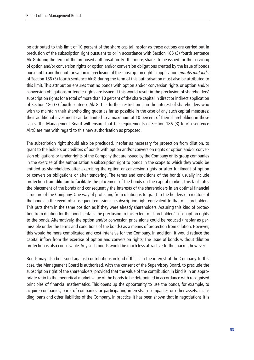be attributed to this limit of 10 percent of the share capital insofar as these actions are carried out in preclusion of the subscription right pursuant to or in accordance with Section 186 (3) fourth sentence AktG during the term of the proposed authorisation. Furthermore, shares to be issued for the servicing of option and/or conversion rights or option and/or conversion obligations created by the issue of bonds pursuant to another authorisation in preclusion of the subscription right in application mutatis mutandis of Section 186 (3) fourth sentence AktG during the term of this authorisation must also be attributed to this limit. This attribution ensures that no bonds with option and/or conversion rights or option and/or conversion obligations or tender rights are issued if this would result in the preclusion of shareholders' subscription rights for a total of more than 10 percent of the share capital in direct or indirect application of Section 186 (3) fourth sentence AktG. This further restriction is in the interest of shareholders who wish to maintain their shareholding quota as far as possible in the case of any such capital measures; their additional investment can be limited to a maximum of 10 percent of their shareholding in these cases. The Management Board will ensure that the requirements of Section 186 (3) fourth sentence AktG are met with regard to this new authorisation as proposed.

The subscription right should also be precluded, insofar as necessary for protection from dilution, to grant to the holders or creditors of bonds with option and/or conversion rights or option and/or conversion obligations or tender rights of the Company that are issued by the Company or its group companies in the exercise of the authorisation a subscription right to bonds in the scope to which they would be entitled as shareholders after exercising the option or conversion rights or after fulfilment of option or conversion obligations or after tendering. The terms and conditions of the bonds usually include protection from dilution to facilitate the placement of the bonds on the capital market. This facilitates the placement of the bonds and consequently the interests of the shareholders in an optimal financial structure of the Company. One way of protecting from dilution is to grant to the holders or creditors of the bonds in the event of subsequent emissions a subscription right equivalent to that of shareholders. This puts them in the same position as if they were already shareholders. Assuring this kind of protection from dilution for the bonds entails the preclusion to this extent of shareholders' subscription rights to the bonds. Alternatively, the option and/or conversion price alone could be reduced (insofar as permissible under the terms and conditions of the bonds) as a means of protection from dilution. However, this would be more complicated and cost-intensive for the Company. In addition, it would reduce the capital inflow from the exercise of option and conversion rights. The issue of bonds without dilution protection is also conceivable. Any such bonds would be much less attractive to the market, however.

Bonds may also be issued against contributions in kind if this is in the interest of the Company. In this case, the Management Board is authorised, with the consent of the Supervisory Board, to preclude the subscription right of the shareholders, provided that the value of the contribution in kind is in an appropriate ratio to the theoretical market value of the bonds to be determined in accordance with recognised principles of financial mathematics. This opens up the opportunity to use the bonds, for example, to acquire companies, parts of companies or participating interests in companies or other assets, including loans and other liabilities of the Company. In practice, it has been shown that in negotiations it is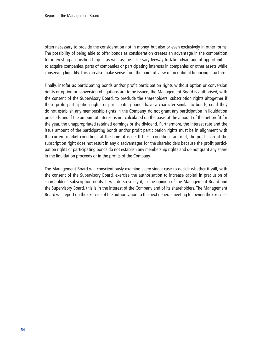often necessary to provide the consideration not in money, but also or even exclusively in other forms. The possibility of being able to offer bonds as consideration creates an advantage in the competition for interesting acquisition targets as well as the necessary leeway to take advantage of opportunities to acquire companies, parts of companies or participating interests in companies or other assets while conserving liquidity. This can also make sense from the point of view of an optimal financing structure.

Finally, insofar as participating bonds and/or profit participation rights without option or conversion rights or option or conversion obligations are to be issued, the Management Board is authorised, with the consent of the Supervisory Board, to preclude the shareholders' subscription rights altogether if these profit participation rights or participating bonds have a character similar to bonds, i.e. if they do not establish any membership rights in the Company, do not grant any participation in liquidation proceeds and if the amount of interest is not calculated on the basis of the amount of the net profit for the year, the unappropriated retained earnings or the dividend. Furthermore, the interest rate and the issue amount of the participating bonds and/or profit participation rights must be in alignment with the current market conditions at the time of issue. If these conditions are met, the preclusion of the subscription right does not result in any disadvantages for the shareholders because the profit participation rights or participating bonds do not establish any membership rights and do not grant any share in the liquidation proceeds or in the profits of the Company.

The Management Board will conscientiously examine every single case to decide whether it will, with the consent of the Supervisory Board, exercise the authorisation to increase capital in preclusion of shareholders' subscription rights. It will do so solely if, in the opinion of the Management Board and the Supervisory Board, this is in the interest of the Company and of its shareholders. The Management Board will report on the exercise of the authorisation to the next general meeting following the exercise.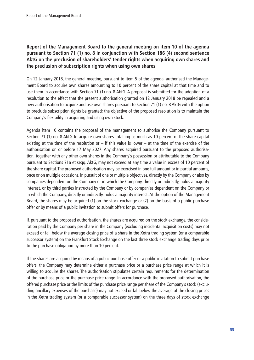## **Report of the Management Board to the general meeting on item 10 of the agenda pursuant to Section 71 (1) no. 8 in conjunction with Section 186 (4) second sentence AktG on the preclusion of shareholders' tender rights when acquiring own shares and the preclusion of subscription rights when using own shares**

On 12 January 2018, the general meeting, pursuant to item 5 of the agenda, authorised the Management Board to acquire own shares amounting to 10 percent of the share capital at that time and to use them in accordance with Section 71 (1) no. 8 AktG. A proposal is submitted for the adoption of a resolution to the effect that the present authorisation granted on 12 January 2018 be repealed and a new authorisation to acquire and use own shares pursuant to Section 71 (1) no. 8 AktG with the option to preclude subscription rights be granted; the objective of the proposed resolution is to maintain the Company's flexibility in acquiring and using own stock.

Agenda item 10 contains the proposal of the management to authorise the Company pursuant to Section 71 (1) no. 8 AktG to acquire own shares totalling as much as 10 percent of the share capital existing at the time of the resolution or  $-$  if this value is lower  $-$  at the time of the exercise of the authorisation on or before 17 May 2027. Any shares acquired pursuant to the proposed authorisation, together with any other own shares in the Company's possession or attributable to the Company pursuant to Sections 71a et seqq. AktG, may not exceed at any time a value in excess of 10 percent of the share capital. The proposed authorisation may be exercised in one full amount or in partial amounts, once or on multiple occasions, in pursuit of one or multiple objectives, directly by the Company or also by companies dependent on the Company or in which the Company, directly or indirectly, holds a majority interest, or by third parties instructed by the Company or by companies dependent on the Company or in which the Company, directly or indirectly, holds a majority interest. At the option of the Management Board, the shares may be acquired (1) on the stock exchange or (2) on the basis of a public purchase offer or by means of a public invitation to submit offers for purchase.

If, pursuant to the proposed authorisation, the shares are acquired on the stock exchange, the consideration paid by the Company per share in the Company (excluding incidental acquisition costs) may not exceed or fall below the average closing price of a share in the Xetra trading system (or a comparable successor system) on the Frankfurt Stock Exchange on the last three stock exchange trading days prior to the purchase obligation by more than 10 percent.

If the shares are acquired by means of a public purchase offer or a public invitation to submit purchase offers, the Company may determine either a purchase price or a purchase price range at which it is willing to acquire the shares. The authorisation stipulates certain requirements for the determination of the purchase price or the purchase price range. In accordance with the proposed authorisation, the offered purchase price or the limits of the purchase price range per share of the Company's stock (excluding ancillary expenses of the purchase) may not exceed or fall below the average of the closing prices in the Xetra trading system (or a comparable successor system) on the three days of stock exchange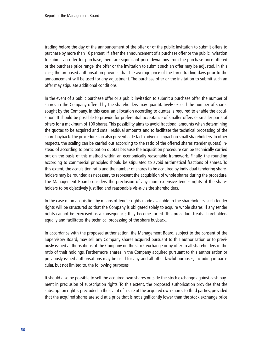trading before the day of the announcement of the offer or of the public invitation to submit offers to purchase by more than 10 percent. If, after the announcement of a purchase offer or the public invitation to submit an offer for purchase, there are significant price deviations from the purchase price offered or the purchase price range, the offer or the invitation to submit such an offer may be adjusted. In this case, the proposed authorisation provides that the average price of the three trading days prior to the announcement will be used for any adjustment. The purchase offer or the invitation to submit such an offer may stipulate additional conditions.

In the event of a public purchase offer or a public invitation to submit a purchase offer, the number of shares in the Company offered by the shareholders may quantitatively exceed the number of shares sought by the Company. In this case, an allocation according to quotas is required to enable the acquisition. It should be possible to provide for preferential acceptance of smaller offers or smaller parts of offers for a maximum of 100 shares. This possibility aims to avoid fractional amounts when determining the quotas to be acquired and small residual amounts and to facilitate the technical processing of the share buyback. The procedure can also prevent a de facto adverse impact on small shareholders. In other respects, the scaling can be carried out according to the ratio of the offered shares (tender quotas) instead of according to participation quotas because the acquisition procedure can be technically carried out on the basis of this method within an economically reasonable framework. Finally, the rounding according to commercial principles should be stipulated to avoid arithmetical fractions of shares. To this extent, the acquisition ratio and the number of shares to be acquired by individual tendering shareholders may be rounded as necessary to represent the acquisition of whole shares during the procedure. The Management Board considers the preclusion of any more extensive tender rights of the shareholders to be objectively justified and reasonable vis-à-vis the shareholders.

In the case of an acquisition by means of tender rights made available to the shareholders, such tender rights will be structured so that the Company is obligated solely to acquire whole shares. If any tender rights cannot be exercised as a consequence, they become forfeit. This procedure treats shareholders equally and facilitates the technical processing of the share buyback.

In accordance with the proposed authorisation, the Management Board, subject to the consent of the Supervisory Board, may sell any Company shares acquired pursuant to this authorisation or to previously issued authorisations of the Company on the stock exchange or by offer to all shareholders in the ratio of their holdings. Furthermore, shares in the Company acquired pursuant to this authorisation or previously issued authorisations may be used for any and all other lawful purposes, including in particular, but not limited to, the following purposes.

It should also be possible to sell the acquired own shares outside the stock exchange against cash payment in preclusion of subscription rights. To this extent, the proposed authorisation provides that the subscription right is precluded in the event of a sale of the acquired own shares to third parties, provided that the acquired shares are sold at a price that is not significantly lower than the stock exchange price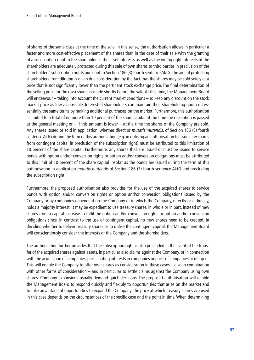of shares of the same class at the time of the sale. In this sense, the authorisation allows in particular a faster and more cost-effective placement of the shares than in the case of their sale with the granting of a subscription right to the shareholders. The asset interests as well as the voting right interests of the shareholders are adequately protected during this sale of own shares to third parties in preclusion of the shareholders' subscription rights pursuant to Section 186 (3) fourth sentence AktG. The aim of protecting shareholders from dilution is given due consideration by the fact that the shares may be sold solely at a price that is not significantly lower than the pertinent stock exchange price. The final determination of the selling price for the own shares is made shortly before the sale. At this time, the Management Board will endeavour – taking into account the current market conditions – to keep any discount on the stock market price as low as possible. Interested shareholders can maintain their shareholding quota on essentially the same terms by making additional purchases on the market. Furthermore, this authorisation is limited to a total of no more than 10 percent of the share capital at the time the resolution is passed at the general meeting or – if this amount is lower – at the time the shares of the Company are sold. Any shares issued or sold in application, whether direct or mutatis mutandis, of Section 186 (3) fourth sentence AktG during the term of this authorisation (e.g. in utilising an authorisation to issue new shares from contingent capital in preclusion of the subscription right) must be attributed to this limitation of 10 percent of the share capital. Furthermore, any shares that are issued or must be issued to service bonds with option and/or conversion rights or option and/or conversion obligations must be attributed to this limit of 10 percent of the share capital insofar as the bonds are issued during the term of this authorisation in application mutatis mutandis of Section 186 (3) fourth sentence AktG and precluding the subscription right.

Furthermore, the proposed authorisation also provides for the use of the acquired shares to service bonds with option and/or conversion rights or option and/or conversion obligations issued by the Company or by companies dependent on the Company or in which the Company, directly or indirectly, holds a majority interest. It may be expedient to use treasury shares, in whole or in part, instead of new shares from a capital increase to fulfil the option and/or conversion rights or option and/or conversion obligations since, in contrast to the use of contingent capital, no new shares need to be created. In deciding whether to deliver treasury shares or to utilise the contingent capital, the Management Board will conscientiously consider the interests of the Company and the shareholders.

The authorisation further provides that the subscription right is also precluded in the event of the transfer of the acquired shares against assets, in particular also claims against the Company, or in connection with the acquisition of companies, participating interests in companies or parts of companies or mergers. This will enable the Company to offer own shares as consideration in these cases – also in combination with other forms of consideration – and in particular to settle claims against the Company using own shares. Company expansions usually demand quick decisions. The proposed authorisation will enable the Management Board to respond quickly and flexibly to opportunities that arise on the market and to take advantage of opportunities to expand the Company. The price at which treasury shares are used in this case depends on the circumstances of the specific case and the point in time. When determining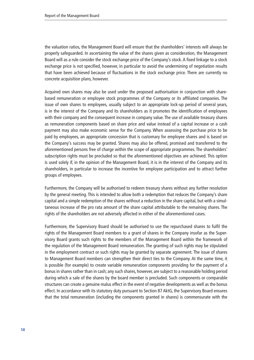the valuation ratios, the Management Board will ensure that the shareholders' interests will always be properly safeguarded. In ascertaining the value of the shares given as consideration, the Management Board will as a rule consider the stock exchange price of the Company's stock. A fixed linkage to a stock exchange price is not specified, however, in particular to avoid the undermining of negotiation results that have been achieved because of fluctuations in the stock exchange price. There are currently no concrete acquisition plans, however.

Acquired own shares may also be used under the proposed authorisation in conjunction with sharebased remuneration or employee stock programmes of the Company or its affiliated companies. The issue of own shares to employees, usually subject to an appropriate lock-up period of several years, is in the interest of the Company and its shareholders as it promotes the identification of employees with their company and the consequent increase in company value. The use of available treasury shares as remuneration components based on share price and value instead of a capital increase or a cash payment may also make economic sense for the Company. When assessing the purchase price to be paid by employees, an appropriate concession that is customary for employee shares and is based on the Company's success may be granted. Shares may also be offered, promised and transferred to the aforementioned persons free of charge within the scope of appropriate programmes. The shareholders' subscription rights must be precluded so that the aforementioned objectives are achieved. This option is used solely if, in the opinion of the Management Board, it is in the interest of the Company and its shareholders, in particular to increase the incentive for employee participation and to attract further groups of employees.

Furthermore, the Company will be authorised to redeem treasury shares without any further resolution by the general meeting. This is intended to allow both a redemption that reduces the Company's share capital and a simple redemption of the shares without a reduction in the share capital, but with a simultaneous increase of the pro rata amount of the share capital attributable to the remaining shares. The rights of the shareholders are not adversely affected in either of the aforementioned cases.

Furthermore, the Supervisory Board should be authorised to use the repurchased shares to fulfil the rights of the Management Board members to a grant of shares in the Company insofar as the Supervisory Board grants such rights to the members of the Management Board within the framework of the regulation of the Management Board remuneration. The granting of such rights may be stipulated in the employment contract or such rights may be granted by separate agreement. The issue of shares to Management Board members can strengthen their direct ties to the Company. At the same time, it is possible (for example) to create variable remuneration components providing for the payment of a bonus in shares rather than in cash; any such shares, however, are subject to a reasonable holding period during which a sale of the shares by the board member is precluded. Such components or comparable structures can create a genuine malus effect in the event of negative developments as well as the bonus effect. In accordance with its statutory duty pursuant to Section 87 AktG, the Supervisory Board ensures that the total remuneration (including the components granted in shares) is commensurate with the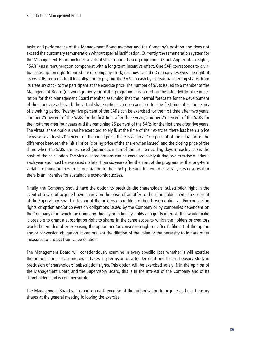tasks and performance of the Management Board member and the Company's position and does not exceed the customary remuneration without special justification. Currently, the remuneration system for the Management Board includes a virtual stock option-based programme (Stock Appreciation Rights, "SAR") as a remuneration component with a long-term incentive effect. One SAR corresponds to a virtual subscription right to one share of Company stock, i.e., however, the Company reserves the right at its own discretion to fulfil its obligation to pay out the SARs in cash by instead transferring shares from its treasury stock to the participant at the exercise price. The number of SARs issued to a member of the Management Board (on average per year of the programme) is based on the intended total remuneration for that Management Board member, assuming that the internal forecasts for the development of the stock are achieved. The virtual share options can be exercised for the first time after the expiry of a waiting period. Twenty-five percent of the SARs can be exercised for the first time after two years, another 25 percent of the SARs for the first time after three years, another 25 percent of the SARs for the first time after four years and the remaining 25 percent of the SARs for the first time after five years. The virtual share options can be exercised solely if, at the time of their exercise, there has been a price increase of at least 20 percent on the initial price; there is a cap at 100 percent of the initial price. The difference between the initial price (closing price of the share when issued) and the closing price of the share when the SARs are exercised (arithmetic mean of the last ten trading days in each case) is the basis of the calculation. The virtual share options can be exercised solely during two exercise windows each year and must be exercised no later than six years after the start of the programme. The long-term variable remuneration with its orientation to the stock price and its term of several years ensures that there is an incentive for sustainable economic success.

Finally, the Company should have the option to preclude the shareholders' subscription right in the event of a sale of acquired own shares on the basis of an offer to the shareholders with the consent of the Supervisory Board in favour of the holders or creditors of bonds with option and/or conversion rights or option and/or conversion obligations issued by the Company or by companies dependent on the Company or in which the Company, directly or indirectly, holds a majority interest. This would make it possible to grant a subscription right to shares in the same scope to which the holders or creditors would be entitled after exercising the option and/or conversion right or after fulfilment of the option and/or conversion obligation. It can prevent the dilution of the value or the necessity to initiate other measures to protect from value dilution.

The Management Board will conscientiously examine in every specific case whether it will exercise the authorisation to acquire own shares in preclusion of a tender right and to use treasury stock in preclusion of shareholders' subscription rights. This option will be exercised solely if, in the opinion of the Management Board and the Supervisory Board, this is in the interest of the Company and of its shareholders and is commensurate.

The Management Board will report on each exercise of the authorisation to acquire and use treasury shares at the general meeting following the exercise.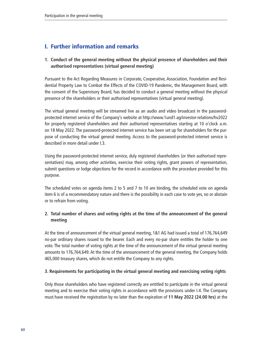# I. Further information and remarks

## **1. Conduct of the general meeting without the physical presence of shareholders and their authorised representatives (virtual general meeting)**

Pursuant to the Act Regarding Measures in Corporate, Cooperative, Association, Foundation and Residential Property Law to Combat the Effects of the COVID-19 Pandemic, the Management Board, with the consent of the Supervisory Board, has decided to conduct a general meeting without the physical presence of the shareholders or their authorised representatives (virtual general meeting).

The virtual general meeting will be streamed live as an audio and video broadcast in the passwordprotected internet service of the Company's website at [http://www.1und1.ag/investor-relations/hv2022](http://www.1und1.ag/investor-relations/hv2022 )  for properly registered shareholders and their authorised representatives starting at 10 o'clock a.m. on 18 May 2022. The password-protected internet service has been set up for shareholders for the purpose of conducting the virtual general meeting. Access to the password-protected internet service is described in more detail under I.3.

Using the password-protected internet service, duly registered shareholders (or their authorised representatives) may, among other activities, exercise their voting rights, grant powers of representation, submit questions or lodge objections for the record in accordance with the procedure provided for this purpose.

The scheduled votes on agenda items 2 to 5 and 7 to 10 are binding, the scheduled vote on agenda item 6 is of a recommendatory nature and there is the possibility in each case to vote yes, no or abstain or to refrain from voting.

## **2. Total number of shares and voting rights at the time of the announcement of the general meeting**

At the time of announcement of the virtual general meeting, 1&1 AG had issued a total of 176,764,649 no-par ordinary shares issued to the bearer. Each and every no-par share entitles the holder to one vote. The total number of voting rights at the time of the announcement of the virtual general meeting amounts to 176,764,649. At the time of the announcement of the general meeting, the Company holds 465,000 treasury shares, which do not entitle the Company to any rights.

### **3. Requirements for participating in the virtual general meeting and exercising voting rights**

Only those shareholders who have registered correctly are entitled to participate in the virtual general meeting and to exercise their voting rights in accordance with the provisions under I.4. The Company must have received the registration by no later than the expiration of **11 May 2022 (24.00 hrs)** at the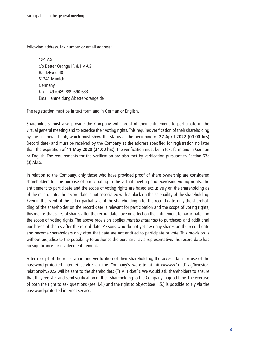following address, fax number or email address:

1&1 AG c/o Better Orange IR & HV AG Haidelweg 48 81241 Munich Germany Fax: +49 (0)89 889 690 633 Email: anmeldung@better-orange.de

The registration must be in text form and in German or English.

Shareholders must also provide the Company with proof of their entitlement to participate in the virtual general meeting and to exercise their voting rights. This requires verification of their shareholding by the custodian bank, which must show the status at the beginning of **27 April 2022 (00.00 hrs)**  (record date) and must be received by the Company at the address specified for registration no later than the expiration of **11 May 2020 (24.00 hrs)**. The verification must be in text form and in German or English. The requirements for the verification are also met by verification pursuant to Section 67c (3) AktG.

In relation to the Company, only those who have provided proof of share ownership are considered shareholders for the purpose of participating in the virtual meeting and exercising voting rights. The entitlement to participate and the scope of voting rights are based exclusively on the shareholding as of the record date. The record date is not associated with a block on the saleability of the shareholding. Even in the event of the full or partial sale of the shareholding after the record date, only the shareholding of the shareholder on the record date is relevant for participation and the scope of voting rights; this means that sales of shares after the record date have no effect on the entitlement to participate and the scope of voting rights. The above provision applies mutatis mutandis to purchases and additional purchases of shares after the record date. Persons who do not yet own any shares on the record date and become shareholders only after that date are not entitled to participate or vote. This provision is without prejudice to the possibility to authorise the purchaser as a representative. The record date has no significance for dividend entitlement.

After receipt of the registration and verification of their shareholding, the access data for use of the password-protected internet service on the Company's website at http://www.1und1.ag/investorrelations/hv2022 will be sent to the shareholders ("HV Ticket"). We would ask shareholders to ensure that they register and send verification of their shareholding to the Company in good time. The exercise of both the right to ask questions (see II.4.) and the right to object (see II.5.) is possible solely via the password-protected internet service.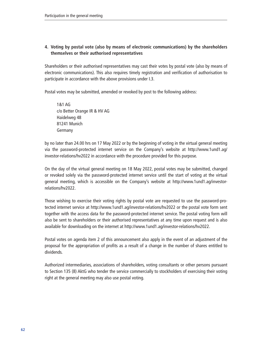### **4. Voting by postal vote (also by means of electronic communications) by the shareholders themselves or their authorised representatives**

Shareholders or their authorised representatives may cast their votes by postal vote (also by means of electronic communications). This also requires timely registration and verification of authorisation to participate in accordance with the above provisions under I.3.

Postal votes may be submitted, amended or revoked by post to the following address:

1&1 AG c/o Better Orange IR & HV AG Haidelweg 48 81241 Munich Germany

by no later than 24.00 hrs on 17 May 2022 or by the beginning of voting in the virtual general meeting via the password-protected internet service on the Company's website at http://www.1und1.ag/ investor-relations/hv2022 in accordance with the procedure provided for this purpose.

On the day of the virtual general meeting on 18 May 2022, postal votes may be submitted, changed or revoked solely via the password-protected internet service until the start of voting at the virtual general meeting, which is accessible on the Company's website at [http://www.1und1.ag/investor](http://www.1und1.ag/investor-relations/hv2022 )[relations/hv2022.](http://www.1und1.ag/investor-relations/hv2022 )

Those wishing to exercise their voting rights by postal vote are requested to use the password-protected internet service at <http://www.1und1.ag/investor-relations/hv2022> or the postal vote form sent together with the access data for the password-protected internet service. The postal voting form will also be sent to shareholders or their authorised representatives at any time upon request and is also available for downloading on the internet at [http://www.1und1.ag/investor-relations/hv2022.](http://www.1und1.ag/investor-relations/hv2022)

Postal votes on agenda item 2 of this announcement also apply in the event of an adjustment of the proposal for the appropriation of profits as a result of a change in the number of shares entitled to dividends.

Authorized intermediaries, associations of shareholders, voting consultants or other persons pursuant to Section 135 (8) AktG who tender the service commercially to stockholders of exercising their voting right at the general meeting may also use postal voting.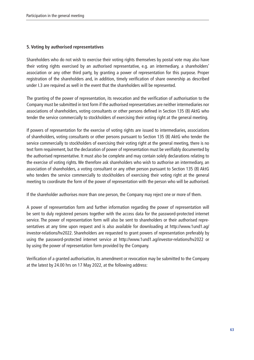### **5. Voting by authorised representatives**

Shareholders who do not wish to exercise their voting rights themselves by postal vote may also have their voting rights exercised by an authorised representative, e.g. an intermediary, a shareholders' association or any other third party, by granting a power of representation for this purpose. Proper registration of the shareholders and, in addition, timely verification of share ownership as described under I.3 are required as well in the event that the shareholders will be represented.

The granting of the power of representation, its revocation and the verification of authorisation to the Company must be submitted in text form if the authorised representatives are neither intermediaries nor associations of shareholders, voting consultants or other persons defined in Section 135 (8) AktG who tender the service commercially to stockholders of exercising their voting right at the general meeting.

If powers of representation for the exercise of voting rights are issued to intermediaries, associations of shareholders, voting consultants or other persons pursuant to Section 135 (8) AktG who tender the service commercially to stockholders of exercising their voting right at the general meeting, there is no text form requirement, but the declaration of power of representation must be verifiably documented by the authorised representative. It must also be complete and may contain solely declarations relating to the exercise of voting rights. We therefore ask shareholders who wish to authorise an intermediary, an association of shareholders, a voting consultant or any other person pursuant to Section 135 (8) AktG who tenders the service commercially to stockholders of exercising their voting right at the general meeting to coordinate the form of the power of representation with the person who will be authorised.

If the shareholder authorises more than one person, the Company may reject one or more of them.

A power of representation form and further information regarding the power of representation will be sent to duly registered persons together with the access data for the password-protected internet service. The power of representation form will also be sent to shareholders or their authorised representatives at any time upon request and is also available for downloading at [http://www.1und1.ag/](http://www.1und1.ag/investor-relations/hv2022) [investor-relations/hv2022](http://www.1und1.ag/investor-relations/hv2022). Shareholders are requested to grant powers of representation preferably by using the password-protected internet service at <http://www.1und1.ag/investor-relations/hv2022> or by using the power of representation form provided by the Company.

Verification of a granted authorisation, its amendment or revocation may be submitted to the Company at the latest by 24.00 hrs on 17 May 2022, at the following address: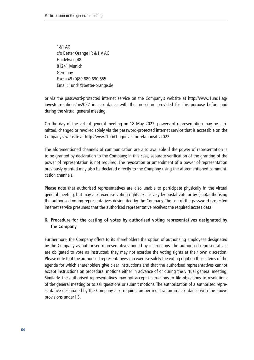1&1 AG c/o Better Orange IR & HV AG Haidelweg 48 81241 Munich Germany Fax: +49 (0)89 889 690 655 Email: 1und1@better-orange.de

or via the password-protected internet service on the Company's website at http://www.1und1.ag/ investor-relations/hv2022 in accordance with the procedure provided for this purpose before and during the virtual general meeting.

On the day of the virtual general meeting on 18 May 2022, powers of representation may be submitted, changed or revoked solely via the password-protected internet service that is accessible on the Company's website at<http://www.1und1.ag/investor-relations/hv2022>.

The aforementioned channels of communication are also available if the power of representation is to be granted by declaration to the Company; in this case, separate verification of the granting of the power of representation is not required. The revocation or amendment of a power of representation previously granted may also be declared directly to the Company using the aforementioned communication channels.

Please note that authorised representatives are also unable to participate physically in the virtual general meeting, but may also exercise voting rights exclusively by postal vote or by (sub)authorising the authorised voting representatives designated by the Company. The use of the password-protected internet service presumes that the authorised representative receives the required access data.

### **6. Procedure for the casting of votes by authorised voting representatives designated by the Company**

Furthermore, the Company offers to its shareholders the option of authorising employees designated by the Company as authorised representatives bound by instructions. The authorised representatives are obligated to vote as instructed; they may not exercise the voting rights at their own discretion. Please note that the authorised representatives can exercise solely the voting right on those items of the agenda for which shareholders give clear instructions and that the authorised representatives cannot accept instructions on procedural motions either in advance of or during the virtual general meeting. Similarly, the authorised representatives may not accept instructions to file objections to resolutions of the general meeting or to ask questions or submit motions. The authorisation of a authorised representative designated by the Company also requires proper registration in accordance with the above provisions under I.3.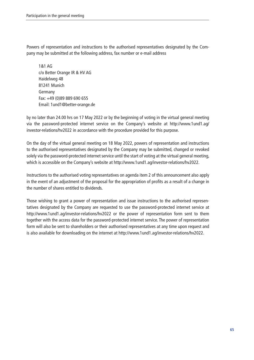Powers of representation and instructions to the authorised representatives designated by the Company may be submitted at the following address, fax number or e-mail address

1&1 AG c/o Better Orange IR & HV AG Haidelweg 48 81241 Munich Germany Fax: +49 (0)89 889 690 655 Email: 1und1@better-orange.de

by no later than 24.00 hrs on 17 May 2022 or by the beginning of voting in the virtual general meeting via the password-protected internet service on the Company's website at http://www.1und1.ag/ investor-relations/hv2022 in accordance with the procedure provided for this purpose.

On the day of the virtual general meeting on 18 May 2022, powers of representation and instructions to the authorised representatives designated by the Company may be submitted, changed or revoked solely via the password-protected internet service until the start of voting at the virtual general meeting, which is accessible on the Company's website at <http://www.1und1.ag/investor-relations/hv2022>.

Instructions to the authorised voting representatives on agenda item 2 of this announcement also apply in the event of an adjustment of the proposal for the appropriation of profits as a result of a change in the number of shares entitled to dividends.

Those wishing to grant a power of representation and issue instructions to the authorised representatives designated by the Company are requested to use the password-protected internet service at <http://www.1und1.ag/investor-relations/hv2022>or the power of representation form sent to them together with the access data for the password-protected internet service. The power of representation form will also be sent to shareholders or their authorised representatives at any time upon request and is also available for downloading on the internet at <http://www.1und1.ag/investor-relations/hv2022>.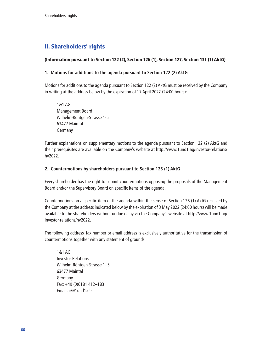# II. Shareholders' rights

### (Information pursuant to Section 122 (2), Section 126 (1), Section 127, Section 131 (1) AktG)

#### **1. Motions for additions to the agenda pursuant to Section 122 (2) AktG**

Motions for additions to the agenda pursuant to Section 122 (2) AktG must be received by the Company in writing at the address below by the expiration of 17 April 2022 (24:00 hours):

1&1 AG Management Board Wilhelm-Röntgen-Strasse 1-5 63477 Maintal Germany

Further explanations on supplementary motions to the agenda pursuant to Section 122 (2) AktG and their prerequisites are available on the Company's website at [http://www.1und1.ag/investor-relations/](http://www.1und1.ag/investor-relations/hv2022) [hv2022](http://www.1und1.ag/investor-relations/hv2022).

### **2. Countermotions by shareholders pursuant to Section 126 (1) AktG**

Every shareholder has the right to submit countermotions opposing the proposals of the Management Board and/or the Supervisory Board on specific items of the agenda.

Countermotions on a specific item of the agenda within the sense of Section 126 (1) AktG received by the Company at the address indicated below by the expiration of 3 May 2022 (24:00 hours) will be made available to the shareholders without undue delay via the Company's website at [http://www.1und1.ag/](http://www.1und1.ag/investor-relations/hv2022) [investor-relations/hv2022.](http://www.1und1.ag/investor-relations/hv2022)

The following address, fax number or email address is exclusively authoritative for the transmission of countermotions together with any statement of grounds:

1&1 AG Investor Relations Wilhelm-Röntgen-Strasse 1–5 63477 Maintal Germany Fax: +49 (0)6181 412–183 Email: ir@1und1.de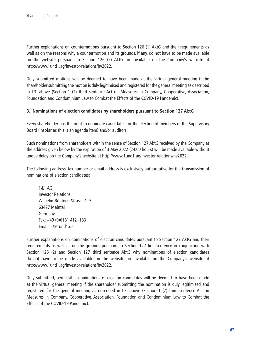Further explanations on countermotions pursuant to Section 126 (1) AktG and their requirements as well as on the reasons why a countermotion and its grounds, if any, do not have to be made available on the website pursuant to Section 126 (2) AktG are available on the Company's website at [http://www.1und1.ag/investor-relations/hv2022.](http://www.1und1.ag/investor-relations/hv2022)

Duly submitted motions will be deemed to have been made at the virtual general meeting if the shareholder submitting the motion is duly legitimised and registered for the general meeting as described in I.3. above (Section 1 (2) third sentence Act on Measures in Company, Cooperative, Association, Foundation and Condominium Law to Combat the Effects of the COVID-19 Pandemic).

### **3. Nominations of election candidates by shareholders pursuant to Section 127 AktG**

Every shareholder has the right to nominate candidates for the election of members of the Supervisory Board (insofar as this is an agenda item) and/or auditors.

Such nominations from shareholders within the sense of Section 127 AktG received by the Company at the address given below by the expiration of 3 May 2022 (24:00 hours) will be made available without undue delay on the Company's website at [http://www.1und1.ag/investor-relations/hv2022.](http://www.1und1.ag/investor-relations/hv2022)

The following address, fax number or email address is exclusively authoritative for the transmission of nominations of election candidates:

1&1 AG Investor Relations Wilhelm-Röntgen-Strasse 1–5 63477 Maintal Germany Fax: +49 (0)6181 412–183 Email: ir@1und1.de

Further explanations on nominations of election candidates pursuant to Section 127 AktG and their requirements as well as on the grounds pursuant to Section 127 first sentence in conjunction with Section 126 (2) and Section 127 third sentence AktG why nominations of election candidates do not have to be made available on the website are available on the Company's website at [http://www.1und1.ag/investor-relations/hv2022.](http://www.1und1.ag/investor-relations/hv2022)

Duly submitted, permissible nominations of election candidates will be deemed to have been made at the virtual general meeting if the shareholder submitting the nomination is duly legitimised and registered for the general meeting as described in I.3. above (Section 1 (2) third sentence Act on Measures in Company, Cooperative, Association, Foundation and Condominium Law to Combat the Effects of the COVID-19 Pandemic).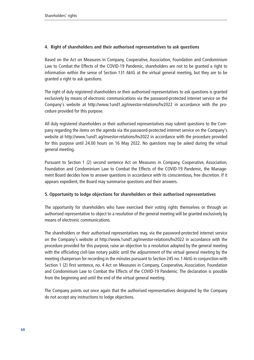### **4. Right of shareholders and their authorised representatives to ask questions**

Based on the Act on Measures in Company, Cooperative, Association, Foundation and Condominium Law to Combat the Effects of the COVID-19 Pandemic, shareholders are not to be granted a right to information within the sense of Section 131 AktG at the virtual general meeting, but they are to be granted a right to ask questions.

The right of duly registered shareholders or their authorised representatives to ask questions is granted exclusively by means of electronic communications via the password-protected internet service on the Company's website at <http://www.1und1.ag/investor-relations/hv2022> in accordance with the procedure provided for this purpose.

All duly registered shareholders or their authorised representatives may submit questions to the Company regarding the items on the agenda via the password-protected internet service on the Company's website at <http://www.1und1.ag/investor-relations/hv2022>in accordance with the procedure provided for this purpose until 24.00 hours on 16 May 2022. No questions may be asked during the virtual general meeting.

Pursuant to Section 1 (2) second sentence Act on Measures in Company, Cooperative, Association, Foundation and Condominium Law to Combat the Effects of the COVID-19 Pandemic, the Management Board decides how to answer questions in accordance with its conscientious, free discretion. If it appears expedient, the Board may summarise questions and their answers.

### **5. Opportunity to lodge objections for shareholders or their authorised representatives**

The opportunity for shareholders who have exercised their voting rights themselves or through an authorised representative to object to a resolution of the general meeting will be granted exclusively by means of electronic communications.

The shareholders or their authorised representatives may, via the password-protected internet service on the Company's website at <http://www.1und1.ag/investor-relations/hv2022>in accordance with the procedure provided for this purpose, raise an objection to a resolution adopted by the general meeting with the officiating civil-law notary public until the adjournment of the virtual general meeting by the meeting chairperson for recording in the minutes pursuant to Section 245 no. 1 AktG in conjunction with Section 1 (2) first sentence, no. 4 Act on Measures in Company, Cooperative, Association, Foundation and Condominium Law to Combat the Effects of the COVID-19 Pandemic. The declaration is possible from the beginning and until the end of the virtual general meeting.

The Company points out once again that the authorised representatives designated by the Company do not accept any instructions to lodge objections.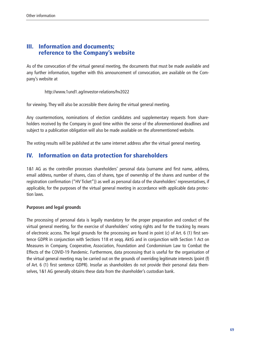# III. Information and documents; reference to the Company's website

As of the convocation of the virtual general meeting, the documents that must be made available and any further information, together with this announcement of convocation, are available on the Company's website at

<http://www.1und1.ag/investor-relations/hv2022>

for viewing. They will also be accessible there during the virtual general meeting.

Any countermotions, nominations of election candidates and supplementary requests from shareholders received by the Company in good time within the sense of the aforementioned deadlines and subject to a publication obligation will also be made available on the aforementioned website.

The voting results will be published at the same internet address after the virtual general meeting.

# IV. Information on data protection for shareholders

1&1 AG as the controller processes shareholders' personal data (surname and first name, address, email address, number of shares, class of shares, type of ownership of the shares and number of the registration confirmation ("HV Ticket")) as well as personal data of the shareholders' representatives, if applicable, for the purposes of the virtual general meeting in accordance with applicable data protection laws.

#### **Purposes and legal grounds**

The processing of personal data is legally mandatory for the proper preparation and conduct of the virtual general meeting, for the exercise of shareholders' voting rights and for the tracking by means of electronic access. The legal grounds for the processing are found in point (c) of Art. 6 (1) first sentence GDPR in conjunction with Sections 118 et seqq. AktG and in conjunction with Section 1 Act on Measures in Company, Cooperative, Association, Foundation and Condominium Law to Combat the Effects of the COVID-19 Pandemic. Furthermore, data processing that is useful for the organisation of the virtual general meeting may be carried out on the grounds of overriding legitimate interests (point (f) of Art. 6 (1) first sentence GDPR). Insofar as shareholders do not provide their personal data themselves, 1&1 AG generally obtains these data from the shareholder's custodian bank.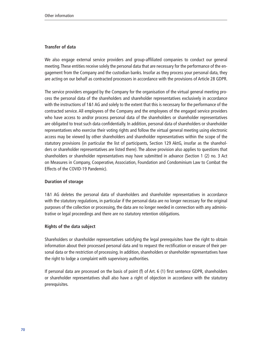#### **Transfer of data**

We also engage external service providers and group-affiliated companies to conduct our general meeting. These entities receive solely the personal data that are necessary for the performance of the engagement from the Company and the custodian banks. Insofar as they process your personal data, they are acting on our behalf as contracted processors in accordance with the provisions of Article 28 GDPR.

The service providers engaged by the Company for the organisation of the virtual general meeting process the personal data of the shareholders and shareholder representatives exclusively in accordance with the instructions of 1&1 AG and solely to the extent that this is necessary for the performance of the contracted service. All employees of the Company and the employees of the engaged service providers who have access to and/or process personal data of the shareholders or shareholder representatives are obligated to treat such data confidentially. In addition, personal data of shareholders or shareholder representatives who exercise their voting rights and follow the virtual general meeting using electronic access may be viewed by other shareholders and shareholder representatives within the scope of the statutory provisions (in particular the list of participants, Section 129 AktG, insofar as the shareholders or shareholder representatives are listed there). The above provision also applies to questions that shareholders or shareholder representatives may have submitted in advance (Section 1 (2) no. 3 Act on Measures in Company, Cooperative, Association, Foundation and Condominium Law to Combat the Effects of the COVID-19 Pandemic).

#### **Duration of storage**

1&1 AG deletes the personal data of shareholders and shareholder representatives in accordance with the statutory regulations, in particular if the personal data are no longer necessary for the original purposes of the collection or processing, the data are no longer needed in connection with any administrative or legal proceedings and there are no statutory retention obligations.

#### **Rights of the data subject**

Shareholders or shareholder representatives satisfying the legal prerequisites have the right to obtain information about their processed personal data and to request the rectification or erasure of their personal data or the restriction of processing. In addition, shareholders or shareholder representatives have the right to lodge a complaint with supervisory authorities.

If personal data are processed on the basis of point (f) of Art. 6 (1) first sentence GDPR, shareholders or shareholder representatives shall also have a right of objection in accordance with the statutory prerequisites.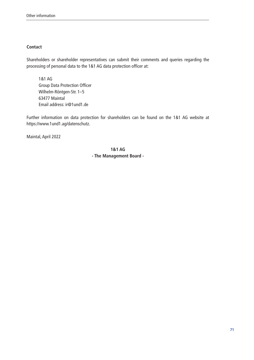#### **Contact**

Shareholders or shareholder representatives can submit their comments and queries regarding the processing of personal data to the 1&1 AG data protection officer at:

1&1 AG Group Data Protection Officer Wilhelm-Röntgen-Str. 1–5 63477 Maintal Email address: ir@1und1.de

Further information on data protection for shareholders can be found on the 1&1 AG website at https://www.1und1.ag/datenschutz.

Maintal, April 2022

**1&1 AG - The Management Board -**